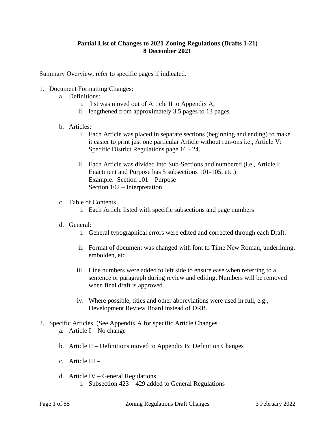### **Partial List of Changes to 2021 Zoning Regulations (Drafts 1-21) 8 December 2021**

Summary Overview, refer to specific pages if indicated.

- 1. Document Formatting Changes:
	- a. Definitions:
		- i. list was moved out of Article II to Appendix A,
		- ii. lengthened from approximately 3.5 pages to 13 pages.
	- b. Articles:
		- i. Each Article was placed in separate sections (beginning and ending) to make it easier to print just one particular Article without run-ons i.e., Article V: Specific District Regulations page 16 - 24.
		- ii. Each Article was divided into Sub-Sections and numbered (i.e., Article I: Enactment and Purpose has 5 subsections 101-105, etc.) Example: Section 101 – Purpose Section 102 – Interpretation
	- c. Table of Contents
		- i. Each Article listed with specific subsections and page numbers
	- d. General:
		- i. General typographical errors were edited and corrected through each Draft.
		- ii. Format of document was changed with font to Time New Roman, underlining, embolden, etc.
		- iii. Line numbers were added to left side to ensure ease when referring to a sentence or paragraph during review and editing. Numbers will be removed when final draft is approved.
		- iv. Where possible, titles and other abbreviations were used in full, e.g., Development Review Board instead of DRB.
- 2. Specific Articles (See Appendix A for specific Article Changes a. Article  $I - No$  change
	- b. Article II Definitions moved to Appendix B: Definition Changes
	- c. Article III –
	- d. Article IV General Regulations i. Subsection 423 – 429 added to General Regulations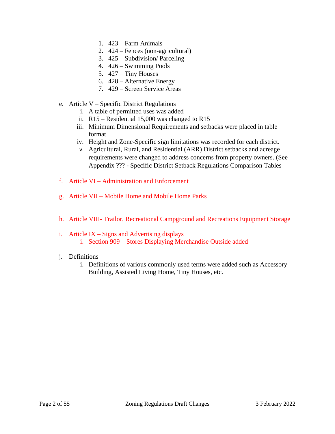- 1. 423 Farm Animals
- 2. 424 Fences (non-agricultural)
- 3. 425 Subdivision/ Parceling
- 4. 426 Swimming Pools
- 5. 427 Tiny Houses
- 6. 428 Alternative Energy
- 7. 429 Screen Service Areas
- e. Article V Specific District Regulations
	- i. A table of permitted uses was added
	- ii. R15 Residential 15,000 was changed to R15
	- iii. Minimum Dimensional Requirements and setbacks were placed in table format
	- iv. Height and Zone-Specific sign limitations was recorded for each district.
	- v. Agricultural, Rural, and Residential (ARR) District setbacks and acreage requirements were changed to address concerns from property owners. (See Appendix ??? - Specific District Setback Regulations Comparison Tables
- f. Article VI Administration and Enforcement
- g. Article VII Mobile Home and Mobile Home Parks
- h. Article VIII- Trailor, Recreational Campground and Recreations Equipment Storage
- i. Article  $IX Signs$  and Advertising displays i. Section 909 – Stores Displaying Merchandise Outside added
- j. Definitions
	- i. Definitions of various commonly used terms were added such as Accessory Building, Assisted Living Home, Tiny Houses, etc.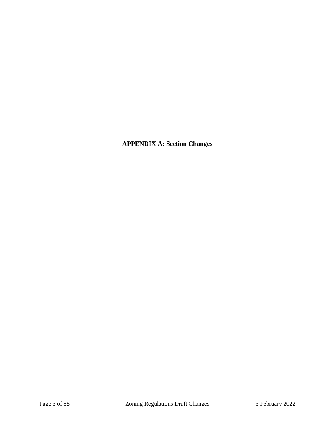**APPENDIX A: Section Changes**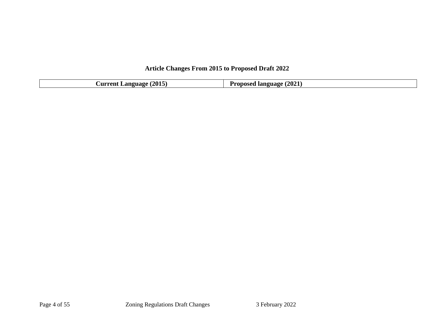# **Article Changes From 2015 to Proposed Draft 2022**

| (2015)<br><b>Language</b><br><b>Aurrent</b> | (2021)<br><b>Prop</b> u<br>$n$ nncan $n$<br><b>language</b><br>.<br>. |
|---------------------------------------------|-----------------------------------------------------------------------|
|                                             |                                                                       |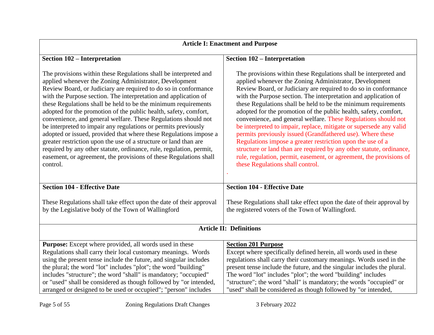| <b>Article I: Enactment and Purpose</b>                                                                                                                                                                                                                                                                                                                                                                                                                                                                                                                                                                                                                                                                                                                                                                                                     |                                                                                                                                                                                                                                                                                                                                                                                                                                                                                                                                                                                                                                                                                                                                                                                                                                                               |  |
|---------------------------------------------------------------------------------------------------------------------------------------------------------------------------------------------------------------------------------------------------------------------------------------------------------------------------------------------------------------------------------------------------------------------------------------------------------------------------------------------------------------------------------------------------------------------------------------------------------------------------------------------------------------------------------------------------------------------------------------------------------------------------------------------------------------------------------------------|---------------------------------------------------------------------------------------------------------------------------------------------------------------------------------------------------------------------------------------------------------------------------------------------------------------------------------------------------------------------------------------------------------------------------------------------------------------------------------------------------------------------------------------------------------------------------------------------------------------------------------------------------------------------------------------------------------------------------------------------------------------------------------------------------------------------------------------------------------------|--|
| Section 102 - Interpretation                                                                                                                                                                                                                                                                                                                                                                                                                                                                                                                                                                                                                                                                                                                                                                                                                | Section 102 - Interpretation                                                                                                                                                                                                                                                                                                                                                                                                                                                                                                                                                                                                                                                                                                                                                                                                                                  |  |
| The provisions within these Regulations shall be interpreted and<br>applied whenever the Zoning Administrator, Development<br>Review Board, or Judiciary are required to do so in conformance<br>with the Purpose section. The interpretation and application of<br>these Regulations shall be held to be the minimum requirements<br>adopted for the promotion of the public health, safety, comfort,<br>convenience, and general welfare. These Regulations should not<br>be interpreted to impair any regulations or permits previously<br>adopted or issued, provided that where these Regulations impose a<br>greater restriction upon the use of a structure or land than are<br>required by any other statute, ordinance, rule, regulation, permit,<br>easement, or agreement, the provisions of these Regulations shall<br>control. | The provisions within these Regulations shall be interpreted and<br>applied whenever the Zoning Administrator, Development<br>Review Board, or Judiciary are required to do so in conformance<br>with the Purpose section. The interpretation and application of<br>these Regulations shall be held to be the minimum requirements<br>adopted for the promotion of the public health, safety, comfort,<br>convenience, and general welfare. These Regulations should not<br>be interpreted to impair, replace, mitigate or supersede any valid<br>permits previously issued (Grandfathered use). Where these<br>Regulations impose a greater restriction upon the use of a<br>structure or land than are required by any other statute, ordinance,<br>rule, regulation, permit, easement, or agreement, the provisions of<br>these Regulations shall control. |  |
| <b>Section 104 - Effective Date</b>                                                                                                                                                                                                                                                                                                                                                                                                                                                                                                                                                                                                                                                                                                                                                                                                         | <b>Section 104 - Effective Date</b>                                                                                                                                                                                                                                                                                                                                                                                                                                                                                                                                                                                                                                                                                                                                                                                                                           |  |
| These Regulations shall take effect upon the date of their approval<br>by the Legislative body of the Town of Wallingford                                                                                                                                                                                                                                                                                                                                                                                                                                                                                                                                                                                                                                                                                                                   | These Regulations shall take effect upon the date of their approval by<br>the registered voters of the Town of Wallingford.                                                                                                                                                                                                                                                                                                                                                                                                                                                                                                                                                                                                                                                                                                                                   |  |
| <b>Article II: Definitions</b>                                                                                                                                                                                                                                                                                                                                                                                                                                                                                                                                                                                                                                                                                                                                                                                                              |                                                                                                                                                                                                                                                                                                                                                                                                                                                                                                                                                                                                                                                                                                                                                                                                                                                               |  |
| <b>Purpose:</b> Except where provided, all words used in these<br>Regulations shall carry their local customary meanings. Words<br>using the present tense include the future, and singular includes<br>the plural; the word "lot" includes "plot"; the word "building"<br>includes "structure"; the word "shall" is mandatory; "occupied"<br>or "used" shall be considered as though followed by "or intended,<br>arranged or designed to be used or occupied"; "person" includes                                                                                                                                                                                                                                                                                                                                                          | <b>Section 201 Purpose</b><br>Except where specifically defined herein, all words used in these<br>regulations shall carry their customary meanings. Words used in the<br>present tense include the future, and the singular includes the plural.<br>The word "lot" includes "plot"; the word "building" includes<br>"structure"; the word "shall" is mandatory; the words "occupied" or<br>"used" shall be considered as though followed by "or intended,                                                                                                                                                                                                                                                                                                                                                                                                    |  |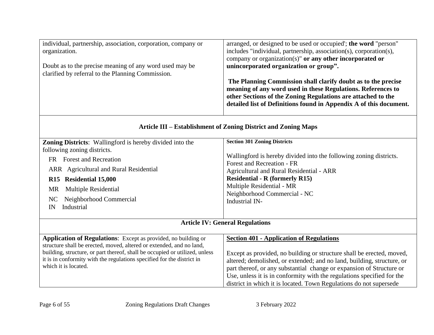| individual, partnership, association, corporation, company or<br>organization.<br>Doubt as to the precise meaning of any word used may be<br>clarified by referral to the Planning Commission. | arranged, or designed to be used or occupied'; the word "person"<br>includes "individual, partnership, association(s), corporation(s),<br>company or organization(s)" or any other incorporated or<br>unincorporated organization or group".<br>The Planning Commission shall clarify doubt as to the precise<br>meaning of any word used in these Regulations. References to<br>other Sections of the Zoning Regulations are attached to the<br>detailed list of Definitions found in Appendix A of this document. |  |
|------------------------------------------------------------------------------------------------------------------------------------------------------------------------------------------------|---------------------------------------------------------------------------------------------------------------------------------------------------------------------------------------------------------------------------------------------------------------------------------------------------------------------------------------------------------------------------------------------------------------------------------------------------------------------------------------------------------------------|--|
| Article III – Establishment of Zoning District and Zoning Maps                                                                                                                                 |                                                                                                                                                                                                                                                                                                                                                                                                                                                                                                                     |  |
| Zoning Districts: Wallingford is hereby divided into the                                                                                                                                       | <b>Section 301 Zoning Districts</b>                                                                                                                                                                                                                                                                                                                                                                                                                                                                                 |  |
| following zoning districts.                                                                                                                                                                    |                                                                                                                                                                                                                                                                                                                                                                                                                                                                                                                     |  |
| <b>Forest and Recreation</b><br>FR                                                                                                                                                             | Wallingford is hereby divided into the following zoning districts.<br>Forest and Recreation - FR                                                                                                                                                                                                                                                                                                                                                                                                                    |  |
| ARR Agricultural and Rural Residential                                                                                                                                                         | Agricultural and Rural Residential - ARR                                                                                                                                                                                                                                                                                                                                                                                                                                                                            |  |
| <b>Residential 15,000</b><br>R15                                                                                                                                                               | <b>Residential - R (formerly R15)</b>                                                                                                                                                                                                                                                                                                                                                                                                                                                                               |  |
| Multiple Residential<br><b>MR</b>                                                                                                                                                              | Multiple Residential - MR                                                                                                                                                                                                                                                                                                                                                                                                                                                                                           |  |
| NC                                                                                                                                                                                             | Neighborhood Commercial - NC                                                                                                                                                                                                                                                                                                                                                                                                                                                                                        |  |
| Neighborhood Commercial<br>Industrial<br>IN                                                                                                                                                    | Industrial IN-                                                                                                                                                                                                                                                                                                                                                                                                                                                                                                      |  |
|                                                                                                                                                                                                |                                                                                                                                                                                                                                                                                                                                                                                                                                                                                                                     |  |
| <b>Article IV: General Regulations</b>                                                                                                                                                         |                                                                                                                                                                                                                                                                                                                                                                                                                                                                                                                     |  |
| Application of Regulations: Except as provided, no building or                                                                                                                                 | <b>Section 401 - Application of Regulations</b>                                                                                                                                                                                                                                                                                                                                                                                                                                                                     |  |
| structure shall be erected, moved, altered or extended, and no land,                                                                                                                           |                                                                                                                                                                                                                                                                                                                                                                                                                                                                                                                     |  |
| building, structure, or part thereof, shall be occupied or utilized, unless                                                                                                                    | Except as provided, no building or structure shall be erected, moved.                                                                                                                                                                                                                                                                                                                                                                                                                                               |  |

Except as provided, no building or structure shall be erected, moved, altered; demolished, or extended; and no land, building, structure, or part thereof, or any substantial change or expansion of Structure or Use, unless it is in conformity with the regulations specified for the district in which it is located. Town Regulations do not supersede

which it is located.

it is in conformity with the regulations specified for the district in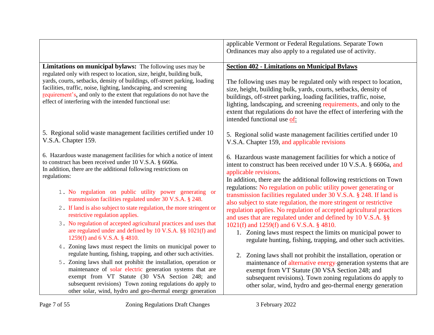|                                                                                                                                                                                                                                                                                                                                                                                                                                                | applicable Vermont or Federal Regulations. Separate Town<br>Ordinances may also apply to a regulated use of activity.                                                                                                                                                                                                                                                                                                                               |
|------------------------------------------------------------------------------------------------------------------------------------------------------------------------------------------------------------------------------------------------------------------------------------------------------------------------------------------------------------------------------------------------------------------------------------------------|-----------------------------------------------------------------------------------------------------------------------------------------------------------------------------------------------------------------------------------------------------------------------------------------------------------------------------------------------------------------------------------------------------------------------------------------------------|
| Limitations on municipal bylaws: The following uses may be<br>regulated only with respect to location, size, height, building bulk,<br>yards, courts, setbacks, density of buildings, off-street parking, loading<br>facilities, traffic, noise, lighting, landscaping, and screening<br>requirement's, and only to the extent that regulations do not have the<br>effect of interfering with the intended functional use:                     | <b>Section 402 - Limitations on Municipal Bylaws</b><br>The following uses may be regulated only with respect to location,<br>size, height, building bulk, yards, courts, setbacks, density of<br>buildings, off-street parking, loading facilities, traffic, noise,<br>lighting, landscaping, and screening requirements, and only to the<br>extent that regulations do not have the effect of interfering with the<br>intended functional use of: |
| 5. Regional solid waste management facilities certified under 10<br>V.S.A. Chapter 159.                                                                                                                                                                                                                                                                                                                                                        | 5. Regional solid waste management facilities certified under 10<br>V.S.A. Chapter 159, and applicable revisions                                                                                                                                                                                                                                                                                                                                    |
| 6. Hazardous waste management facilities for which a notice of intent<br>to construct has been received under 10 V.S.A. § 6606a.<br>In addition, there are the additional following restrictions on<br>regulations:                                                                                                                                                                                                                            | 6. Hazardous waste management facilities for which a notice of<br>intent to construct has been received under 10 V.S.A. § 6606a, and<br>applicable revisions.<br>In addition, there are the additional following restrictions on Town<br>regulations: No regulation on public utility power generating or                                                                                                                                           |
| 1. No regulation on public utility power generating or<br>transmission facilities regulated under 30 V.S.A. § 248.<br>2. If land is also subject to state regulation, the more stringent or<br>restrictive regulation applies.                                                                                                                                                                                                                 | transmission facilities regulated under 30 V.S.A. § 248. If land is<br>also subject to state regulation, the more stringent or restrictive<br>regulation applies. No regulation of accepted agricultural practices<br>and uses that are regulated under and defined by 10 V.S.A. §§                                                                                                                                                                 |
| 3. No regulation of accepted agricultural practices and uses that<br>are regulated under and defined by 10 V.S.A. §§ 1021(f) and<br>1259(f) and 6 V.S.A. § 4810.                                                                                                                                                                                                                                                                               | 1021(f) and 1259(f) and 6 V.S.A. § 4810.<br>1. Zoning laws must respect the limits on municipal power to<br>regulate hunting, fishing, trapping, and other such activities.                                                                                                                                                                                                                                                                         |
| 4. Zoning laws must respect the limits on municipal power to<br>regulate hunting, fishing, trapping, and other such activities.<br>5. Zoning laws shall not prohibit the installation, operation or<br>maintenance of solar electric generation systems that are<br>exempt from VT Statute (30 VSA Section 248; and<br>subsequent revisions) Town zoning regulations do apply to<br>other solar, wind, hydro and geo-thermal energy generation | Zoning laws shall not prohibit the installation, operation or<br>2.<br>maintenance of alternative energy-generation systems that are<br>exempt from VT Statute (30 VSA Section 248; and<br>subsequent revisions). Town zoning regulations do apply to<br>other solar, wind, hydro and geo-thermal energy generation                                                                                                                                 |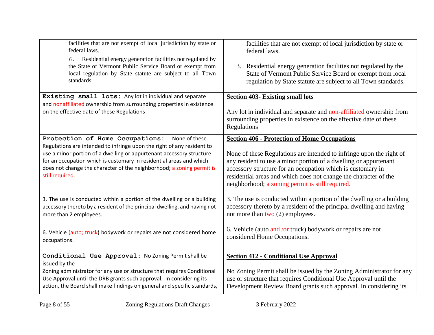| facilities that are not exempt of local jurisdiction by state or<br>federal laws.<br>6. Residential energy generation facilities not regulated by<br>the State of Vermont Public Service Board or exempt from<br>local regulation by State statute are subject to all Town<br>standards.                                                                              | facilities that are not exempt of local jurisdiction by state or<br>federal laws.<br>3. Residential energy generation facilities not regulated by the<br>State of Vermont Public Service Board or exempt from local<br>regulation by State statute are subject to all Town standards.                                                                                                  |
|-----------------------------------------------------------------------------------------------------------------------------------------------------------------------------------------------------------------------------------------------------------------------------------------------------------------------------------------------------------------------|----------------------------------------------------------------------------------------------------------------------------------------------------------------------------------------------------------------------------------------------------------------------------------------------------------------------------------------------------------------------------------------|
| Existing small lots: Any lot in individual and separate<br>and nonaffiliated ownership from surrounding properties in existence                                                                                                                                                                                                                                       | <b>Section 403- Existing small lots</b>                                                                                                                                                                                                                                                                                                                                                |
| on the effective date of these Regulations                                                                                                                                                                                                                                                                                                                            | Any lot in individual and separate and non-affiliated ownership from<br>surrounding properties in existence on the effective date of these<br>Regulations                                                                                                                                                                                                                              |
| Protection of Home Occupations:<br>None of these<br>Regulations are intended to infringe upon the right of any resident to<br>use a minor portion of a dwelling or appurtenant accessory structure<br>for an occupation which is customary in residential areas and which<br>does not change the character of the neighborhood; a zoning permit is<br>still required. | <b>Section 406 - Protection of Home Occupations</b><br>None of these Regulations are intended to infringe upon the right of<br>any resident to use a minor portion of a dwelling or appurtenant<br>accessory structure for an occupation which is customary in<br>residential areas and which does not change the character of the<br>neighborhood; a zoning permit is still required. |
| 3. The use is conducted within a portion of the dwelling or a building<br>accessory thereto by a resident of the principal dwelling, and having not<br>more than 2 employees.                                                                                                                                                                                         | 3. The use is conducted within a portion of the dwelling or a building<br>accessory thereto by a resident of the principal dwelling and having<br>not more than two $(2)$ employees.                                                                                                                                                                                                   |
| 6. Vehicle (auto; truck) bodywork or repairs are not considered home<br>occupations.                                                                                                                                                                                                                                                                                  | 6. Vehicle (auto and /or truck) bodywork or repairs are not<br>considered Home Occupations.                                                                                                                                                                                                                                                                                            |
| Conditional Use Approval: No Zoning Permit shall be<br>issued by the                                                                                                                                                                                                                                                                                                  | <b>Section 412 - Conditional Use Approval</b>                                                                                                                                                                                                                                                                                                                                          |
| Zoning administrator for any use or structure that requires Conditional<br>Use Approval until the DRB grants such approval. In considering its<br>action, the Board shall make findings on general and specific standards,                                                                                                                                            | No Zoning Permit shall be issued by the Zoning Administrator for any<br>use or structure that requires Conditional Use Approval until the<br>Development Review Board grants such approval. In considering its                                                                                                                                                                         |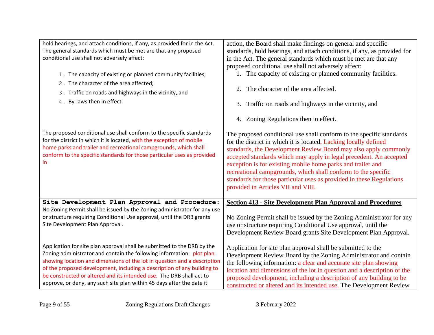| hold hearings, and attach conditions, if any, as provided for in the Act.<br>The general standards which must be met are that any proposed<br>conditional use shall not adversely affect:<br>1. The capacity of existing or planned community facilities;<br>2. The character of the area affected;<br>3. Traffic on roads and highways in the vicinity, and<br>4. By-laws then in effect. | action, the Board shall make findings on general and specific<br>standards, hold hearings, and attach conditions, if any, as provided for<br>in the Act. The general standards which must be met are that any<br>proposed conditional use shall not adversely affect:<br>1. The capacity of existing or planned community facilities.<br>The character of the area affected.<br>2.<br>3. Traffic on roads and highways in the vicinity, and<br>4. Zoning Regulations then in effect.                                            |
|--------------------------------------------------------------------------------------------------------------------------------------------------------------------------------------------------------------------------------------------------------------------------------------------------------------------------------------------------------------------------------------------|---------------------------------------------------------------------------------------------------------------------------------------------------------------------------------------------------------------------------------------------------------------------------------------------------------------------------------------------------------------------------------------------------------------------------------------------------------------------------------------------------------------------------------|
| The proposed conditional use shall conform to the specific standards<br>for the district in which it is located, with the exception of mobile<br>home parks and trailer and recreational campgrounds, which shall<br>conform to the specific standards for those particular uses as provided<br>in.                                                                                        | The proposed conditional use shall conform to the specific standards<br>for the district in which it is located. Lacking locally defined<br>standards, the Development Review Board may also apply commonly<br>accepted standards which may apply in legal precedent. An accepted<br>exception is for existing mobile home parks and trailer and<br>recreational campgrounds, which shall conform to the specific<br>standards for those particular uses as provided in these Regulations<br>provided in Articles VII and VIII. |
| Site Development Plan Approval and Procedure:                                                                                                                                                                                                                                                                                                                                              | <b>Section 413 - Site Development Plan Approval and Procedures</b>                                                                                                                                                                                                                                                                                                                                                                                                                                                              |
| No Zoning Permit shall be issued by the Zoning administrator for any use                                                                                                                                                                                                                                                                                                                   | No Zoning Permit shall be issued by the Zoning Administrator for any                                                                                                                                                                                                                                                                                                                                                                                                                                                            |
| or structure requiring Conditional Use approval, until the DRB grants                                                                                                                                                                                                                                                                                                                      | use or structure requiring Conditional Use approval, until the                                                                                                                                                                                                                                                                                                                                                                                                                                                                  |
| Site Development Plan Approval.                                                                                                                                                                                                                                                                                                                                                            | Development Review Board grants Site Development Plan Approval.                                                                                                                                                                                                                                                                                                                                                                                                                                                                 |
| Application for site plan approval shall be submitted to the DRB by the                                                                                                                                                                                                                                                                                                                    | Application for site plan approval shall be submitted to the                                                                                                                                                                                                                                                                                                                                                                                                                                                                    |
| Zoning administrator and contain the following information: plot plan                                                                                                                                                                                                                                                                                                                      | Development Review Board by the Zoning Administrator and contain                                                                                                                                                                                                                                                                                                                                                                                                                                                                |
| showing location and dimensions of the lot in question and a description                                                                                                                                                                                                                                                                                                                   | the following information: a clear and accurate site plan showing                                                                                                                                                                                                                                                                                                                                                                                                                                                               |
| of the proposed development, including a description of any building to                                                                                                                                                                                                                                                                                                                    | location and dimensions of the lot in question and a description of the                                                                                                                                                                                                                                                                                                                                                                                                                                                         |
| be constructed or altered and its intended use. The DRB shall act to                                                                                                                                                                                                                                                                                                                       | proposed development, including a description of any building to be                                                                                                                                                                                                                                                                                                                                                                                                                                                             |
| approve, or deny, any such site plan within 45 days after the date it                                                                                                                                                                                                                                                                                                                      | constructed or altered and its intended use. The Development Review                                                                                                                                                                                                                                                                                                                                                                                                                                                             |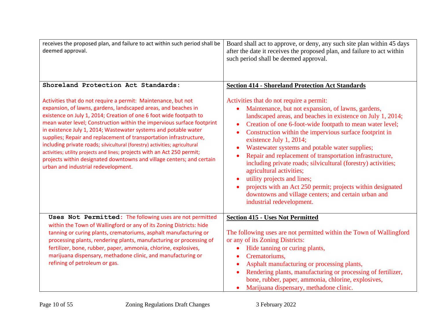| receives the proposed plan, and failure to act within such period shall be<br>deemed approval.                                                                                                                                                                                                                                                                                                                                                                                                                                                                                                                                                                                                     | Board shall act to approve, or deny, any such site plan within 45 days<br>after the date it receives the proposed plan, and failure to act within<br>such period shall be deemed approval.                                                                                                                                                                                                                                                                                                                                                                                                                                                                                                                     |
|----------------------------------------------------------------------------------------------------------------------------------------------------------------------------------------------------------------------------------------------------------------------------------------------------------------------------------------------------------------------------------------------------------------------------------------------------------------------------------------------------------------------------------------------------------------------------------------------------------------------------------------------------------------------------------------------------|----------------------------------------------------------------------------------------------------------------------------------------------------------------------------------------------------------------------------------------------------------------------------------------------------------------------------------------------------------------------------------------------------------------------------------------------------------------------------------------------------------------------------------------------------------------------------------------------------------------------------------------------------------------------------------------------------------------|
| Shoreland Protection Act Standards:                                                                                                                                                                                                                                                                                                                                                                                                                                                                                                                                                                                                                                                                | <b>Section 414 - Shoreland Protection Act Standards</b>                                                                                                                                                                                                                                                                                                                                                                                                                                                                                                                                                                                                                                                        |
| Activities that do not require a permit: Maintenance, but not<br>expansion, of lawns, gardens, landscaped areas, and beaches in<br>existence on July 1, 2014; Creation of one 6 foot wide footpath to<br>mean water level; Construction within the impervious surface footprint<br>in existence July 1, 2014; Wastewater systems and potable water<br>supplies; Repair and replacement of transportation infrastructure,<br>including private roads; silvicultural (forestry) activities; agricultural<br>activities; utility projects and lines; projects with an Act 250 permit;<br>projects within designated downtowns and village centers; and certain<br>urban and industrial redevelopment. | Activities that do not require a permit:<br>Maintenance, but not expansion, of lawns, gardens,<br>landscaped areas, and beaches in existence on July 1, 2014;<br>Creation of one 6-foot-wide footpath to mean water level;<br>Construction within the impervious surface footprint in<br>existence July 1, 2014;<br>Wastewater systems and potable water supplies;<br>Repair and replacement of transportation infrastructure,<br>including private roads; silvicultural (forestry) activities;<br>agricultural activities;<br>utility projects and lines;<br>projects with an Act 250 permit; projects within designated<br>downtowns and village centers; and certain urban and<br>industrial redevelopment. |
| Uses Not Permitted: The following uses are not permitted<br>within the Town of Wallingford or any of its Zoning Districts: hide<br>tanning or curing plants, crematoriums, asphalt manufacturing or<br>processing plants, rendering plants, manufacturing or processing of<br>fertilizer, bone, rubber, paper, ammonia, chlorine, explosives,<br>marijuana dispensary, methadone clinic, and manufacturing or<br>refining of petroleum or gas.                                                                                                                                                                                                                                                     | <b>Section 415 - Uses Not Permitted</b><br>The following uses are not permitted within the Town of Wallingford<br>or any of its Zoning Districts:<br>Hide tanning or curing plants,<br>$\bullet$<br>Crematoriums,<br>Asphalt manufacturing or processing plants,<br>$\bullet$<br>Rendering plants, manufacturing or processing of fertilizer,<br>bone, rubber, paper, ammonia, chlorine, explosives,<br>Marijuana dispensary, methadone clinic.<br>$\bullet$                                                                                                                                                                                                                                                   |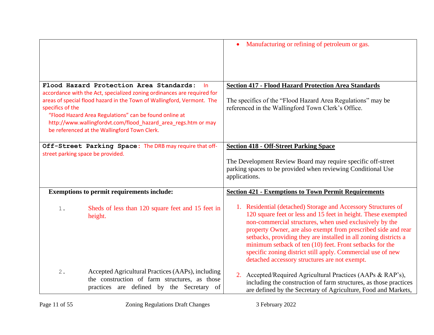|                                   |                                                                                                                                                                                                                                                                                                                                                                                 | Manufacturing or refining of petroleum or gas.<br>$\bullet$                                                                                                                                                                                                                                                                                                                                                                                                                                                |
|-----------------------------------|---------------------------------------------------------------------------------------------------------------------------------------------------------------------------------------------------------------------------------------------------------------------------------------------------------------------------------------------------------------------------------|------------------------------------------------------------------------------------------------------------------------------------------------------------------------------------------------------------------------------------------------------------------------------------------------------------------------------------------------------------------------------------------------------------------------------------------------------------------------------------------------------------|
| specifics of the                  | Flood Hazard Protection Area Standards:<br>-In<br>accordance with the Act, specialized zoning ordinances are required for<br>areas of special flood hazard in the Town of Wallingford, Vermont. The<br>"Flood Hazard Area Regulations" can be found online at<br>http://www.wallingfordvt.com/flood_hazard_area_regs.htm or may<br>be referenced at the Wallingford Town Clerk. | <b>Section 417 - Flood Hazard Protection Area Standards</b><br>The specifics of the "Flood Hazard Area Regulations" may be<br>referenced in the Wallingford Town Clerk's Office.                                                                                                                                                                                                                                                                                                                           |
| street parking space be provided. | Off-Street Parking Space: The DRB may require that off-                                                                                                                                                                                                                                                                                                                         | <b>Section 418 - Off-Street Parking Space</b><br>The Development Review Board may require specific off-street<br>parking spaces to be provided when reviewing Conditional Use<br>applications.                                                                                                                                                                                                                                                                                                             |
|                                   | <b>Exemptions to permit requirements include:</b>                                                                                                                                                                                                                                                                                                                               | <b>Section 421 - Exemptions to Town Permit Requirements</b>                                                                                                                                                                                                                                                                                                                                                                                                                                                |
| $1$ .                             | Sheds of less than 120 square feet and 15 feet in<br>height.                                                                                                                                                                                                                                                                                                                    | 1. Residential (detached) Storage and Accessory Structures of<br>120 square feet or less and 15 feet in height. These exempted<br>non-commercial structures, when used exclusively by the<br>property Owner, are also exempt from prescribed side and rear<br>setbacks, providing they are installed in all zoning districts a<br>minimum setback of ten (10) feet. Front setbacks for the<br>specific zoning district still apply. Commercial use of new<br>detached accessory structures are not exempt. |
| 2.                                | Accepted Agricultural Practices (AAPs), including<br>the construction of farm structures, as those<br>practices are defined by the Secretary of                                                                                                                                                                                                                                 | 2. Accepted/Required Agricultural Practices (AAPs & RAP's),<br>including the construction of farm structures, as those practices<br>are defined by the Secretary of Agriculture, Food and Markets,                                                                                                                                                                                                                                                                                                         |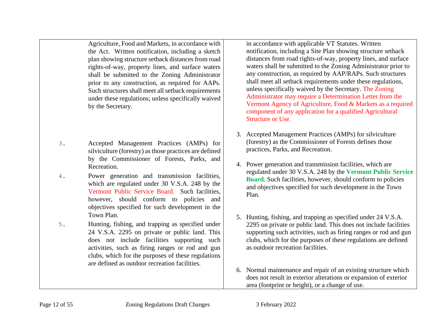Agriculture, Food and Markets, in accordance with the Act. Written notification, including a sketch plan showing structure setback distances from road rights-of-way, property lines, and surface waters shall be submitted to the Zoning Administrator prior to any construction, as required for AAPs. Such structures shall meet all setback requirements under these regulations; unless specifically waived by the Secretary.

- 3. Accepted Management Practices (AMPs) for silviculture (forestry) as those practices are defined by the Commissioner of Forests, Parks, and Recreation.
- 4. Power generation and transmission facilities, which are regulated under 30 V.S.A. 248 by the Vermont Public Service Board. Such facilities, however, should conform to policies and objectives specified for such development in the Town Plan.
- 5. Hunting, fishing, and trapping as specified under 24 V.S.A. 2295 on private or public land. This does not include facilities supporting such activities, such as firing ranges or rod and gun clubs, which for the purposes of these regulations are defined as outdoor recreation facilities.

in accordance with applicable VT Statutes. Written notification, including a Site Plan showing structure setback distances from road rights-of-way, property lines, and surface waters shall be submitted to the Zoning Administrator prior to any construction, as required by AAP/RAPs. Such structures shall meet all setback requirements under these regulations, unless specifically waived by the Secretary. The Zoning Administrator may require a Determination Letter from the Vermont Agency of Agriculture, Food & Markets as a required component of any application for a qualified Agricultural Structure or Use.

- 3. Accepted Management Practices (AMPs) for silviculture (forestry) as the Commissioner of Forests defines those practices, Parks, and Recreation.
- 4. Power generation and transmission facilities, which are regulated under 30 V.S.A. 248 by the **Vermont Public Service Board.** Such facilities, however, should conform to policies and objectives specified for such development in the Town Plan.
- 5. Hunting, fishing, and trapping as specified under 24 V.S.A. 2295 on private or public land. This does not include facilities supporting such activities, such as firing ranges or rod and gun clubs, which for the purposes of these regulations are defined as outdoor recreation facilities.
- 6. Normal maintenance and repair of an existing structure which does not result in exterior alterations or expansion of exterior area (footprint or height), or a change of use.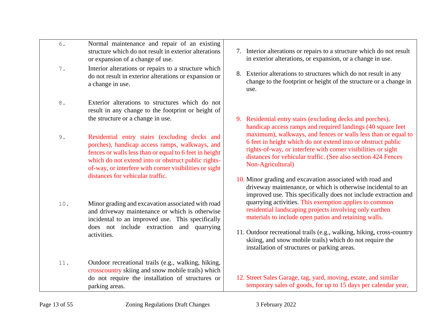|           | $\alpha$ manufacture and repair of an existing<br>structure which do not result in exterior alterations<br>or expansion of a change of use.                                                                                                                                                                    |
|-----------|----------------------------------------------------------------------------------------------------------------------------------------------------------------------------------------------------------------------------------------------------------------------------------------------------------------|
| $7$ .     | Interior alterations or repairs to a structure which<br>do not result in exterior alterations or expansion or<br>a change in use.                                                                                                                                                                              |
| $\bf 8$ . | Exterior alterations to structures which do not<br>result in any change to the footprint or height of<br>the structure or a change in use.                                                                                                                                                                     |
| 9.        | Residential entry stairs (excluding decks and<br>porches), handicap access ramps, walkways, and<br>fences or walls less than or equal to 6 feet in height<br>which do not extend into or obstruct public rights-<br>of-way, or interfere with corner visibilities or sight<br>distances for vehicular traffic. |
| 10.       | Minor grading and excavation associated with road<br>and driveway maintenance or which is otherwise<br>incidental to an improved use. This specifically<br>does not include extraction and quarrying<br>activities.                                                                                            |
| 11.       | Outdoor recreational trails (e.g., walking, hiking,<br>crosscountry skiing and snow mobile trails) which                                                                                                                                                                                                       |

6. Normal maintenance and repair of an existing

- 7. Interior alterations or repairs to a structure which do not result in exterior alterations, or expansion, or a change in use.
- 8. Exterior alterations to structures which do not result in any change to the footprint or height of the structure or a change in use.
- 9. Residential entry stairs (excluding decks and porches), handicap access ramps and required landings (40 square feet maximum), walkways, and fences or walls less than or equal to 6 feet in height which do not extend into or obstruct public rights-of-way, or interfere with corner visibilities or sight distances for vehicular traffic. (See also section 424 Fences Non-Agricultural)
- 10. Minor grading and excavation associated with road and driveway maintenance, or which is otherwise incidental to an improved use. This specifically does not include extraction and quarrying activities. This exemption applies to common residential landscaping projects involving only earthen materials to include open patios and retaining walls.
- 11. Outdoor recreational trails (e.g., walking, hiking, cross-country skiing, and snow mobile trails) which do not require the installation of structures or parking areas.
- 12. Street Sales Garage, tag, yard, moving, estate, and similar temporary sales of goods, for up to 15 days per calendar year,

do not require the installation of structures or

parking areas.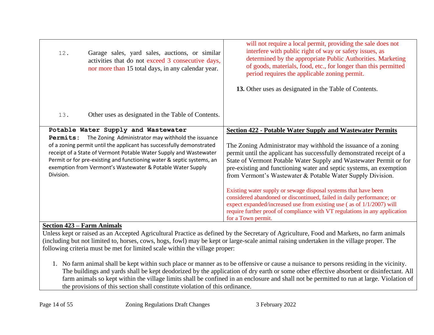| 12.       | Garage sales, yard sales, auctions, or similar<br>activities that do not exceed 3 consecutive days,<br>nor more than 15 total days, in any calendar year.                                                                                                                        | will not require a local permit, providing the sale does not<br>interfere with public right of way or safety issues, as<br>determined by the appropriate Public Authorities. Marketing<br>of goods, materials, food, etc., for longer than this permitted<br>period requires the applicable zoning permit.<br>13. Other uses as designated in the Table of Contents. |
|-----------|----------------------------------------------------------------------------------------------------------------------------------------------------------------------------------------------------------------------------------------------------------------------------------|----------------------------------------------------------------------------------------------------------------------------------------------------------------------------------------------------------------------------------------------------------------------------------------------------------------------------------------------------------------------|
| 13.       | Other uses as designated in the Table of Contents.                                                                                                                                                                                                                               |                                                                                                                                                                                                                                                                                                                                                                      |
| Permits:  | Potable Water Supply and Wastewater<br>The Zoning Administrator may withhold the issuance                                                                                                                                                                                        | <b>Section 422 - Potable Water Supply and Wastewater Permits</b>                                                                                                                                                                                                                                                                                                     |
| Division. | of a zoning permit until the applicant has successfully demonstrated<br>receipt of a State of Vermont Potable Water Supply and Wastewater<br>Permit or for pre-existing and functioning water & septic systems, an<br>exemption from Vermont's Wastewater & Potable Water Supply | The Zoning Administrator may withhold the issuance of a zoning<br>permit until the applicant has successfully demonstrated receipt of a<br>State of Vermont Potable Water Supply and Wastewater Permit or for<br>pre-existing and functioning water and septic systems, an exemption<br>from Vermont's Wastewater & Potable Water Supply Division.                   |
|           |                                                                                                                                                                                                                                                                                  | Existing water supply or sewage disposal systems that have been<br>considered abandoned or discontinued, failed in daily performance; or<br>expect expanded/increased use from existing use (as of 1/1/2007) will<br>require further proof of compliance with VT regulations in any application<br>for a Town permit.                                                |

# **Section 423 – Farm Animals**

Unless kept or raised as an Accepted Agricultural Practice as defined by the Secretary of Agriculture, Food and Markets, no farm animals (including but not limited to, horses, cows, hogs, fowl) may be kept or large-scale animal raising undertaken in the village proper. The following criteria must be met for limited scale within the village proper:

1. No farm animal shall be kept within such place or manner as to be offensive or cause a nuisance to persons residing in the vicinity. The buildings and yards shall be kept deodorized by the application of dry earth or some other effective absorbent or disinfectant. All farm animals so kept within the village limits shall be confined in an enclosure and shall not be permitted to run at large. Violation of the provisions of this section shall constitute violation of this ordinance.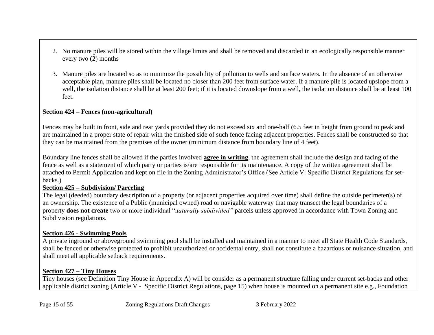- 2. No manure piles will be stored within the village limits and shall be removed and discarded in an ecologically responsible manner every two (2) months
- 3. Manure piles are located so as to minimize the possibility of pollution to wells and surface waters. In the absence of an otherwise acceptable plan, manure piles shall be located no closer than 200 feet from surface water. If a manure pile is located upslope from a well, the isolation distance shall be at least 200 feet; if it is located downslope from a well, the isolation distance shall be at least 100 feet.

# **Section 424 – Fences (non-agricultural)**

Fences may be built in front, side and rear yards provided they do not exceed six and one-half (6.5 feet in height from ground to peak and are maintained in a proper state of repair with the finished side of such fence facing adjacent properties. Fences shall be constructed so that they can be maintained from the premises of the owner (minimum distance from boundary line of 4 feet).

Boundary line fences shall be allowed if the parties involved **agree in writing**, the agreement shall include the design and facing of the fence as well as a statement of which party or parties is/are responsible for its maintenance. A copy of the written agreement shall be attached to Permit Application and kept on file in the Zoning Administrator's Office (See Article V: Specific District Regulations for setbacks.)

### **Section 425 – Subdivision/ Parceling**

The legal (deeded) boundary description of a property (or adjacent properties acquired over time) shall define the outside perimeter(s) of an ownership. The existence of a Public (municipal owned) road or navigable waterway that may transect the legal boundaries of a property **does not create** two or more individual "n*aturally subdivided"* parcels unless approved in accordance with Town Zoning and Subdivision regulations.

# **Section 426 - Swimming Pools**

A private inground or aboveground swimming pool shall be installed and maintained in a manner to meet all State Health Code Standards, shall be fenced or otherwise protected to prohibit unauthorized or accidental entry, shall not constitute a hazardous or nuisance situation, and shall meet all applicable setback requirements.

# **Section 427 – Tiny Houses**

Tiny houses (see Definition Tiny House in Appendix A) will be consider as a permanent structure falling under current set-backs and other applicable district zoning (Article V - Specific District Regulations, page 15) when house is mounted on a permanent site e.g., Foundation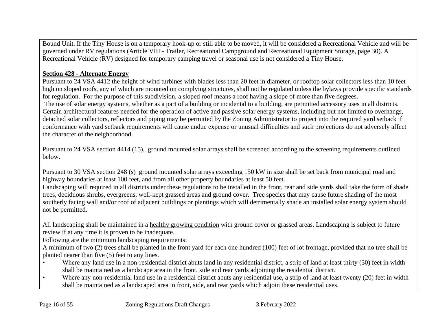Bound Unit. If the Tiny House is on a temporary hook-up or still able to be moved, it will be considered a Recreational Vehicle and will be governed under RV regulations (Article VIII - Trailer, Recreational Campground and Recreational Equipment Storage, page 30). A Recreational Vehicle (RV) designed for temporary camping travel or seasonal use is not considered a Tiny House.

# **Section 428 - Alternate Energy**

Pursuant to 24 VSA 4412 the height of wind turbines with blades less than 20 feet in diameter, or rooftop solar collectors less than 10 feet high on sloped roofs, any of which are mounted on complying structures, shall not be regulated unless the bylaws provide specific standards for regulation. For the purpose of this subdivision, a sloped roof means a roof having a slope of more than five degrees. The use of solar energy systems, whether as a part of a building or incidental to a building, are permitted accessory uses in all districts. Certain architectural features needed for the operation of active and passive solar energy systems, including but not limited to overhangs, detached solar collectors, reflectors and piping may be permitted by the Zoning Administrator to project into the required yard setback if conformance with yard setback requirements will cause undue expense or unusual difficulties and such projections do not adversely affect the character of the neighborhood.

Pursuant to 24 VSA section 4414 (15), ground mounted solar arrays shall be screened according to the screening requirements outlined below.

Pursuant to 30 VSA section 248 (s) ground mounted solar arrays exceeding 150 kW in size shall be set back from municipal road and highway boundaries at least 100 feet, and from all other property boundaries at least 50 feet.

Landscaping will required in all districts under these regulations to be installed in the front, rear and side yards shall take the form of shade trees, deciduous shrubs, evergreens, well-kept grassed areas and ground cover. Tree species that may cause future shading of the most southerly facing wall and/or roof of adjacent buildings or plantings which will detrimentally shade an installed solar energy system should not be permitted.

All landscaping shall be maintained in a healthy growing condition with ground cover or grassed areas. Landscaping is subject to future review if at any time it is proven to be inadequate.

Following are the minimum landscaping requirements:

A minimum of two (2) trees shall be planted in the front yard for each one hundred (100) feet of lot frontage, provided that no tree shall be planted nearer than five (5) feet to any lines.

- Where any land use in a non-residential district abuts land in any residential district, a strip of land at least thirty (30) feet in width shall be maintained as a landscape area in the front, side and rear yards adjoining the residential district.
- Where any non-residential land use in a residential district abuts any residential use, a strip of land at least twenty (20) feet in width shall be maintained as a landscaped area in front, side, and rear yards which adjoin these residential uses.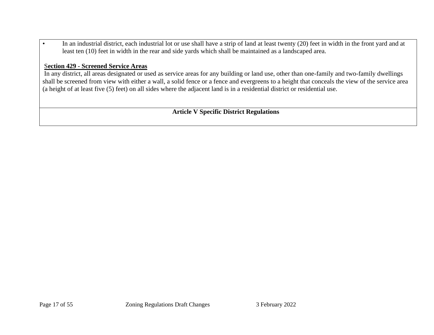• In an industrial district, each industrial lot or use shall have a strip of land at least twenty (20) feet in width in the front yard and at least ten (10) feet in width in the rear and side yards which shall be maintained as a landscaped area.

#### S**ection 429 - Screened Service Areas**

In any district, all areas designated or used as service areas for any building or land use, other than one-family and two-family dwellings shall be screened from view with either a wall, a solid fence or a fence and evergreens to a height that conceals the view of the service area (a height of at least five (5) feet) on all sides where the adjacent land is in a residential district or residential use.

**Article V Specific District Regulations**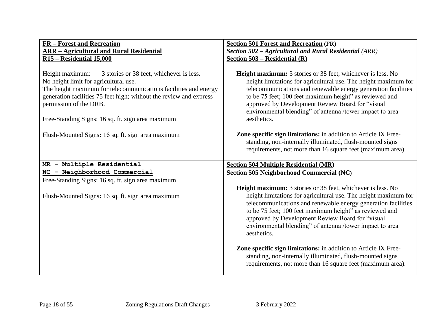| FR - Forest and Recreation                                                                                                                                                                                                                                                                                                   | <b>Section 501 Forest and Recreation (FR)</b>                                                                                                                                                                                                                                                                                                                                                    |
|------------------------------------------------------------------------------------------------------------------------------------------------------------------------------------------------------------------------------------------------------------------------------------------------------------------------------|--------------------------------------------------------------------------------------------------------------------------------------------------------------------------------------------------------------------------------------------------------------------------------------------------------------------------------------------------------------------------------------------------|
| <b>ARR - Agricultural and Rural Residential</b>                                                                                                                                                                                                                                                                              | Section 502 - Agricultural and Rural Residential (ARR)                                                                                                                                                                                                                                                                                                                                           |
| <b>R15 - Residential 15,000</b>                                                                                                                                                                                                                                                                                              | Section $503$ – Residential (R)                                                                                                                                                                                                                                                                                                                                                                  |
| 3 stories or 38 feet, whichever is less.<br>Height maximum:<br>No height limit for agricultural use.<br>The height maximum for telecommunications facilities and energy<br>generation facilities 75 feet high; without the review and express<br>permission of the DRB.<br>Free-Standing Signs: 16 sq. ft. sign area maximum | <b>Height maximum:</b> 3 stories or 38 feet, whichever is less. No<br>height limitations for agricultural use. The height maximum for<br>telecommunications and renewable energy generation facilities<br>to be 75 feet; 100 feet maximum height" as reviewed and<br>approved by Development Review Board for "visual<br>environmental blending" of antenna /tower impact to area<br>aesthetics. |
| Flush-Mounted Signs: 16 sq. ft. sign area maximum                                                                                                                                                                                                                                                                            | <b>Zone specific sign limitations:</b> in addition to Article IX Free-<br>standing, non-internally illuminated, flush-mounted signs<br>requirements, not more than 16 square feet (maximum area).                                                                                                                                                                                                |
| MR - Multiple Residential                                                                                                                                                                                                                                                                                                    | <b>Section 504 Multiple Residential (MR)</b>                                                                                                                                                                                                                                                                                                                                                     |
| NC - Neighborhood Commercial                                                                                                                                                                                                                                                                                                 | Section 505 Neighborhood Commercial (NC)                                                                                                                                                                                                                                                                                                                                                         |
| Free-Standing Signs: 16 sq. ft. sign area maximum                                                                                                                                                                                                                                                                            |                                                                                                                                                                                                                                                                                                                                                                                                  |
| Flush-Mounted Signs: 16 sq. ft. sign area maximum                                                                                                                                                                                                                                                                            | <b>Height maximum:</b> 3 stories or 38 feet, whichever is less. No<br>height limitations for agricultural use. The height maximum for<br>telecommunications and renewable energy generation facilities<br>to be 75 feet; 100 feet maximum height" as reviewed and<br>approved by Development Review Board for "visual<br>environmental blending" of antenna /tower impact to area<br>aesthetics. |
|                                                                                                                                                                                                                                                                                                                              | Zone specific sign limitations: in addition to Article IX Free-<br>standing, non-internally illuminated, flush-mounted signs<br>requirements, not more than 16 square feet (maximum area).                                                                                                                                                                                                       |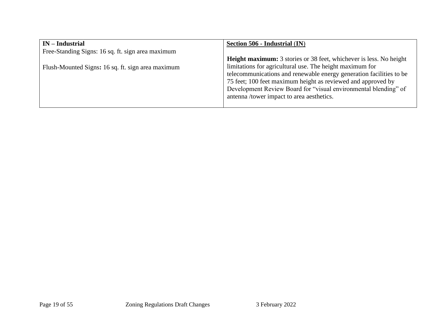| $IN$ – Industrial                                 | Section 506 - Industrial (IN)                                             |
|---------------------------------------------------|---------------------------------------------------------------------------|
| Free-Standing Signs: 16 sq. ft. sign area maximum |                                                                           |
|                                                   | <b>Height maximum:</b> 3 stories or 38 feet, whichever is less. No height |
| Flush-Mounted Signs: 16 sq. ft. sign area maximum | limitations for agricultural use. The height maximum for                  |
|                                                   | telecommunications and renewable energy generation facilities to be       |
|                                                   | 75 feet; 100 feet maximum height as reviewed and approved by              |
|                                                   | Development Review Board for "visual environmental blending" of           |
|                                                   | antenna /tower impact to area aesthetics.                                 |
|                                                   |                                                                           |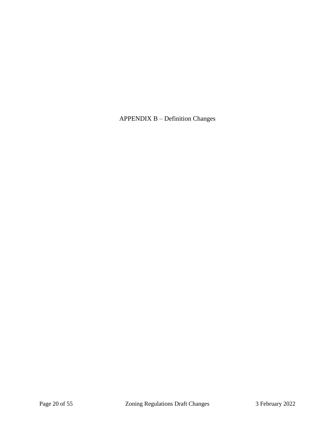APPENDIX B – Definition Changes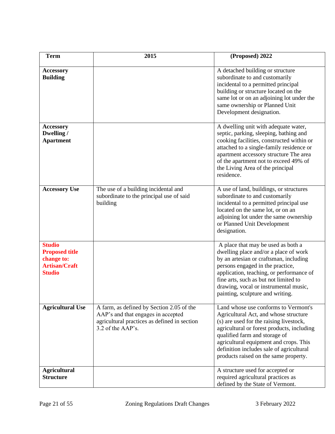| <b>Term</b>                                                                                   | 2015                                                                                                                                                 | (Proposed) 2022                                                                                                                                                                                                                                                                                                                        |
|-----------------------------------------------------------------------------------------------|------------------------------------------------------------------------------------------------------------------------------------------------------|----------------------------------------------------------------------------------------------------------------------------------------------------------------------------------------------------------------------------------------------------------------------------------------------------------------------------------------|
| <b>Accessory</b><br><b>Building</b>                                                           |                                                                                                                                                      | A detached building or structure<br>subordinate to and customarily<br>incidental to a permitted principal<br>building or structure located on the<br>same lot or on an adjoining lot under the<br>same ownership or Planned Unit<br>Development designation.                                                                           |
| <b>Accessory</b><br>Dwelling /<br><b>Apartment</b>                                            |                                                                                                                                                      | A dwelling unit with adequate water,<br>septic, parking, sleeping, bathing and<br>cooking facilities, constructed within or<br>attached to a single-family residence or<br>apartment accessory structure The area<br>of the apartment not to exceed 49% of<br>the Living Area of the principal<br>residence.                           |
| <b>Accessory Use</b>                                                                          | The use of a building incidental and<br>subordinate to the principal use of said<br>building                                                         | A use of land, buildings, or structures<br>subordinate to and customarily<br>incidental to a permitted principal use<br>located on the same lot, or on an<br>adjoining lot under the same ownership<br>or Planned Unit Development<br>designation.                                                                                     |
| <b>Studio</b><br><b>Proposed title</b><br>change to:<br><b>Artisan/Craft</b><br><b>Studio</b> |                                                                                                                                                      | A place that may be used as both a<br>dwelling place and/or a place of work<br>by an artesian or craftsman, including<br>persons engaged in the practice,<br>application, teaching, or performance of<br>fine arts, such as but not limited to<br>drawing, vocal or instrumental music,<br>painting, sculpture and writing.            |
| <b>Agricultural Use</b>                                                                       | A farm, as defined by Section 2.05 of the<br>AAP's and that engages in accepted<br>agricultural practices as defined in section<br>3.2 of the AAP's. | Land whose use conforms to Vermont's<br>Agricultural Act, and whose structure<br>(s) are used for the raising livestock,<br>agricultural or forest products, including<br>qualified farm and storage of<br>agricultural equipment and crops. This<br>definition includes sale of agricultural<br>products raised on the same property. |
| <b>Agricultural</b><br><b>Structure</b>                                                       |                                                                                                                                                      | A structure used for accepted or<br>required agricultural practices as<br>defined by the State of Vermont.                                                                                                                                                                                                                             |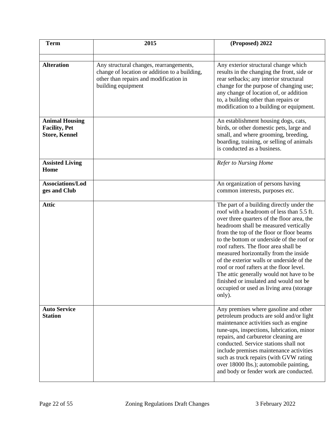| <b>Term</b>                                                           | 2015                                                                                                          | (Proposed) 2022                                                                                                                                                                                                                                                                                                                                                                                                                                                                                                                                                                                |
|-----------------------------------------------------------------------|---------------------------------------------------------------------------------------------------------------|------------------------------------------------------------------------------------------------------------------------------------------------------------------------------------------------------------------------------------------------------------------------------------------------------------------------------------------------------------------------------------------------------------------------------------------------------------------------------------------------------------------------------------------------------------------------------------------------|
| <b>Alteration</b>                                                     | Any structural changes, rearrangements,                                                                       | Any exterior structural change which                                                                                                                                                                                                                                                                                                                                                                                                                                                                                                                                                           |
|                                                                       | change of location or addition to a building,<br>other than repairs and modification in<br>building equipment | results in the changing the front, side or<br>rear setbacks; any interior structural<br>change for the purpose of changing use;<br>any change of location of, or addition<br>to, a building other than repairs or<br>modification to a building or equipment.                                                                                                                                                                                                                                                                                                                                  |
| <b>Animal Housing</b><br><b>Facility, Pet</b><br><b>Store, Kennel</b> |                                                                                                               | An establishment housing dogs, cats,<br>birds, or other domestic pets, large and<br>small, and where grooming, breeding,<br>boarding, training, or selling of animals<br>is conducted as a business.                                                                                                                                                                                                                                                                                                                                                                                           |
| <b>Assisted Living</b><br>Home                                        |                                                                                                               | <b>Refer to Nursing Home</b>                                                                                                                                                                                                                                                                                                                                                                                                                                                                                                                                                                   |
| Associations/Lod<br>ges and Club                                      |                                                                                                               | An organization of persons having<br>common interests, purposes etc.                                                                                                                                                                                                                                                                                                                                                                                                                                                                                                                           |
| <b>Attic</b>                                                          |                                                                                                               | The part of a building directly under the<br>roof with a headroom of less than 5.5 ft.<br>over three quarters of the floor area, the<br>headroom shall be measured vertically<br>from the top of the floor or floor beams<br>to the bottom or underside of the roof or<br>roof rafters. The floor area shall be<br>measured horizontally from the inside<br>of the exterior walls or underside of the<br>roof or roof rafters at the floor level.<br>The attic generally would not have to be<br>finished or insulated and would not be<br>occupied or used as living area (storage)<br>only). |
| <b>Auto Service</b><br><b>Station</b>                                 |                                                                                                               | Any premises where gasoline and other<br>petroleum products are sold and/or light<br>maintenance activities such as engine<br>tune-ups, inspections, lubrication, minor<br>repairs, and carburetor cleaning are<br>conducted. Service stations shall not<br>include premises maintenance activities<br>such as truck repairs (with GVW rating<br>over 18000 lbs.); automobile painting,<br>and body or fender work are conducted.                                                                                                                                                              |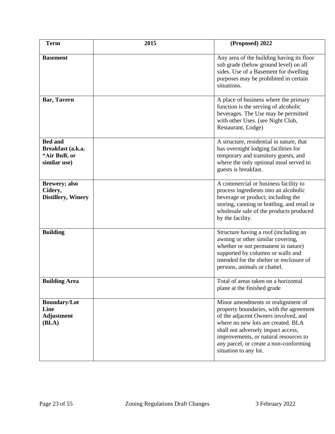| <b>Term</b>                                                         | 2015 | (Proposed) 2022                                                                                                                                                                                                                                                                                               |
|---------------------------------------------------------------------|------|---------------------------------------------------------------------------------------------------------------------------------------------------------------------------------------------------------------------------------------------------------------------------------------------------------------|
| <b>Basement</b>                                                     |      | Any area of the building having its floor<br>sub grade (below ground level) on all<br>sides. Use of a Basement for dwelling<br>purposes may be prohibited in certain<br>situations.                                                                                                                           |
| Bar, Tavern                                                         |      | A place of business where the primary<br>function is the serving of alcoholic<br>beverages. The Use may be permitted<br>with other Uses. (see Night Club,<br>Restaurant, Lodge)                                                                                                                               |
| <b>Bed and</b><br>Breakfast (a.k.a.<br>"Air BnB, or<br>similar use) |      | A structure, residential in nature, that<br>has overnight lodging facilities for<br>temporary and transitory guests, and<br>where the only optional meal served to<br>guests is breakfast.                                                                                                                    |
| <b>Brewery; also</b><br>Cidery,<br><b>Distillery, Winery</b>        |      | A commercial or business facility to<br>process ingredients into an alcoholic<br>beverage or product; including the<br>storing, canning or bottling, and retail or<br>wholesale sale of the products produced<br>by the facility.                                                                             |
| <b>Building</b>                                                     |      | Structure having a roof (including an<br>awning or other similar covering,<br>whether or not permanent in nature)<br>supported by columns or walls and<br>intended for the shelter or enclosure of<br>persons, animals or chattel.                                                                            |
| <b>Building Area</b>                                                |      | Total of areas taken on a horizontal<br>plane at the finished grade                                                                                                                                                                                                                                           |
| <b>Boundary/Lot</b><br>Line<br><b>Adjustment</b><br>(BLA)           |      | Minor amendments or realignment of<br>property boundaries, with the agreement<br>of the adjacent Owners involved, and<br>where no new lots are created. BLA<br>shall not adversely impact access,<br>improvements, or natural resources to<br>any parcel, or create a non-conforming<br>situation to any lot. |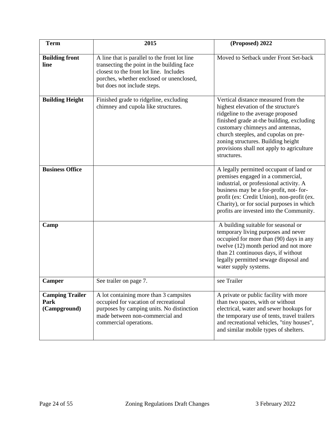| <b>Term</b>                                    | 2015                                                                                                                                                                                                              | (Proposed) 2022                                                                                                                                                                                                                                                                                                                             |
|------------------------------------------------|-------------------------------------------------------------------------------------------------------------------------------------------------------------------------------------------------------------------|---------------------------------------------------------------------------------------------------------------------------------------------------------------------------------------------------------------------------------------------------------------------------------------------------------------------------------------------|
| <b>Building front</b><br>line                  | A line that is parallel to the front lot line<br>transecting the point in the building face<br>closest to the front lot line. Includes<br>porches, whether enclosed or unenclosed,<br>but does not include steps. | Moved to Setback under Front Set-back                                                                                                                                                                                                                                                                                                       |
| <b>Building Height</b>                         | Finished grade to ridgeline, excluding<br>chimney and cupola like structures.                                                                                                                                     | Vertical distance measured from the<br>highest elevation of the structure's<br>ridgeline to the average proposed<br>finished grade at-the building, excluding<br>customary chimneys and antennas,<br>church steeples, and cupolas on pre-<br>zoning structures. Building height<br>provisions shall not apply to agriculture<br>structures. |
| <b>Business Office</b>                         |                                                                                                                                                                                                                   | A legally permitted occupant of land or<br>premises engaged in a commercial,<br>industrial, or professional activity. A<br>business may be a for-profit, not-for-<br>profit (ex: Credit Union), non-profit (ex.<br>Charity), or for social purposes in which<br>profits are invested into the Community.                                    |
| Camp                                           |                                                                                                                                                                                                                   | A building suitable for seasonal or<br>temporary living purposes and never<br>occupied for more than (90) days in any<br>twelve (12) month period and not more<br>than 21 continuous days, if without<br>legally permitted sewage disposal and<br>water supply systems.                                                                     |
| <b>Camper</b>                                  | See trailer on page 7.                                                                                                                                                                                            | see Trailer                                                                                                                                                                                                                                                                                                                                 |
| <b>Camping Trailer</b><br>Park<br>(Campground) | A lot containing more than 3 campsites<br>occupied for vacation of recreational<br>purposes by camping units. No distinction<br>made between non-commercial and<br>commercial operations.                         | A private or public facility with more<br>than two spaces, with or without<br>electrical, water and sewer hookups for<br>the temporary use of tents, travel trailers<br>and recreational vehicles, "tiny houses",<br>and similar mobile types of shelters.                                                                                  |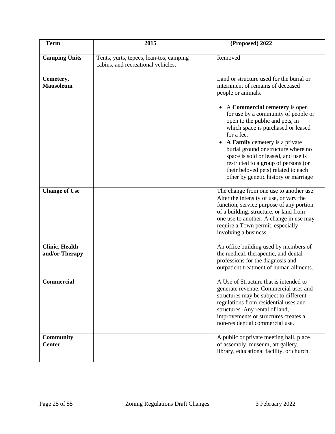| <b>Term</b>                             | 2015                                                                          | (Proposed) 2022                                                                                                                                                                                                                                                                                                                                                                                    |
|-----------------------------------------|-------------------------------------------------------------------------------|----------------------------------------------------------------------------------------------------------------------------------------------------------------------------------------------------------------------------------------------------------------------------------------------------------------------------------------------------------------------------------------------------|
| <b>Camping Units</b>                    | Tents, yurts, tepees, lean-tos, camping<br>cabins, and recreational vehicles. | Removed                                                                                                                                                                                                                                                                                                                                                                                            |
| Cemetery,<br><b>Mausoleum</b>           |                                                                               | Land or structure used for the burial or<br>internment of remains of deceased<br>people or animals.                                                                                                                                                                                                                                                                                                |
|                                         |                                                                               | A Commercial cemetery is open<br>for use by a community of people or<br>open to the public and pets, in<br>which space is purchased or leased<br>for a fee.<br>A Family cemetery is a private<br>burial ground or structure where no<br>space is sold or leased, and use is<br>restricted to a group of persons (or<br>their beloved pets) related to each<br>other by genetic history or marriage |
| <b>Change of Use</b>                    |                                                                               | The change from one use to another use.<br>Alter the intensity of use, or vary the<br>function, service purpose of any portion<br>of a building, structure, or land from<br>one use to another. A change in use may<br>require a Town permit, especially<br>involving a business.                                                                                                                  |
| <b>Clinic, Health</b><br>and/or Therapy |                                                                               | An office building used by members of<br>the medical, therapeutic, and dental<br>professions for the diagnosis and<br>outpatient treatment of human ailments.                                                                                                                                                                                                                                      |
| Commercial                              |                                                                               | A Use of Structure that is intended to<br>generate revenue. Commercial uses and<br>structures may be subject to different<br>regulations from residential uses and<br>structures. Any rental of land,<br>improvements or structures creates a<br>non-residential commercial use.                                                                                                                   |
| <b>Community</b><br><b>Center</b>       |                                                                               | A public or private meeting hall, place<br>of assembly, museum, art gallery,<br>library, educational facility, or church.                                                                                                                                                                                                                                                                          |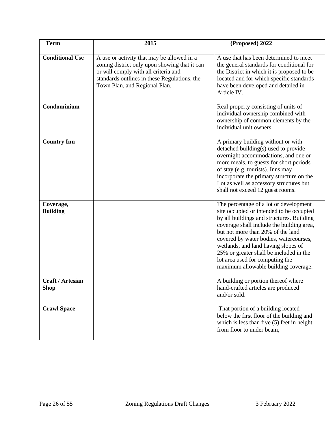| <b>Term</b>                            | 2015                                                                                                                                                                                                                 | (Proposed) 2022                                                                                                                                                                                                                                                                                                                                                                                                          |
|----------------------------------------|----------------------------------------------------------------------------------------------------------------------------------------------------------------------------------------------------------------------|--------------------------------------------------------------------------------------------------------------------------------------------------------------------------------------------------------------------------------------------------------------------------------------------------------------------------------------------------------------------------------------------------------------------------|
| <b>Conditional Use</b>                 | A use or activity that may be allowed in a<br>zoning district only upon showing that it can<br>or will comply with all criteria and<br>standards outlines in these Regulations, the<br>Town Plan, and Regional Plan. | A use that has been determined to meet<br>the general standards for conditional for<br>the District in which it is proposed to be<br>located and for which specific standards<br>have been developed and detailed in<br>Article IV.                                                                                                                                                                                      |
| Condominium                            |                                                                                                                                                                                                                      | Real property consisting of units of<br>individual ownership combined with<br>ownership of common elements by the<br>individual unit owners.                                                                                                                                                                                                                                                                             |
| <b>Country Inn</b>                     |                                                                                                                                                                                                                      | A primary building without or with<br>detached building(s) used to provide<br>overnight accommodations, and one or<br>more meals, to guests for short periods<br>of stay (e.g. tourists). Inns may<br>incorporate the primary structure on the<br>Lot as well as accessory structures but<br>shall not exceed 12 guest rooms.                                                                                            |
| Coverage,<br><b>Building</b>           |                                                                                                                                                                                                                      | The percentage of a lot or development<br>site occupied or intended to be occupied<br>by all buildings and structures. Building<br>coverage shall include the building area,<br>but not more than 20% of the land<br>covered by water bodies, watercourses,<br>wetlands, and land having slopes of<br>25% or greater shall be included in the<br>lot area used for computing the<br>maximum allowable building coverage. |
| <b>Craft / Artesian</b><br><b>Shop</b> |                                                                                                                                                                                                                      | A building or portion thereof where<br>hand-crafted articles are produced<br>and/or sold.                                                                                                                                                                                                                                                                                                                                |
| <b>Crawl Space</b>                     |                                                                                                                                                                                                                      | That portion of a building located<br>below the first floor of the building and<br>which is less than five (5) feet in height<br>from floor to under beam,                                                                                                                                                                                                                                                               |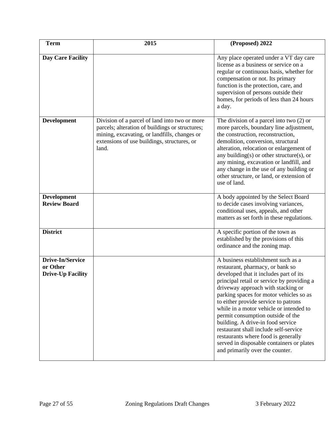| <b>Term</b>                                              | 2015                                                                                                                                                                                                     | (Proposed) 2022                                                                                                                                                                                                                                                                                                                                                                                                                                                                                                                                                              |
|----------------------------------------------------------|----------------------------------------------------------------------------------------------------------------------------------------------------------------------------------------------------------|------------------------------------------------------------------------------------------------------------------------------------------------------------------------------------------------------------------------------------------------------------------------------------------------------------------------------------------------------------------------------------------------------------------------------------------------------------------------------------------------------------------------------------------------------------------------------|
| <b>Day Care Facility</b>                                 |                                                                                                                                                                                                          | Any place operated under a VT day care<br>license as a business or service on a<br>regular or continuous basis, whether for<br>compensation or not. Its primary<br>function is the protection, care, and<br>supervision of persons outside their<br>homes, for periods of less than 24 hours<br>a day.                                                                                                                                                                                                                                                                       |
| <b>Development</b>                                       | Division of a parcel of land into two or more<br>parcels; alteration of buildings or structures;<br>mining, excavating, or landfills, changes or<br>extensions of use buildings, structures, or<br>land. | The division of a parcel into two $(2)$ or<br>more parcels, boundary line adjustment,<br>the construction, reconstruction,<br>demolition, conversion, structural<br>alteration, relocation or enlargement of<br>any building(s) or other structure(s), or<br>any mining, excavation or landfill, and<br>any change in the use of any building or<br>other structure, or land, or extension of<br>use of land.                                                                                                                                                                |
| <b>Development</b><br><b>Review Board</b>                |                                                                                                                                                                                                          | A body appointed by the Select Board<br>to decide cases involving variances,<br>conditional uses, appeals, and other<br>matters as set forth in these regulations.                                                                                                                                                                                                                                                                                                                                                                                                           |
| <b>District</b>                                          |                                                                                                                                                                                                          | A specific portion of the town as<br>established by the provisions of this<br>ordinance and the zoning map.                                                                                                                                                                                                                                                                                                                                                                                                                                                                  |
| Drive-In/Service<br>or Other<br><b>Drive-Up Facility</b> |                                                                                                                                                                                                          | A business establishment such as a<br>restaurant, pharmacy, or bank so<br>developed that it includes part of its<br>principal retail or service by providing a<br>driveway approach with stacking or<br>parking spaces for motor vehicles so as<br>to either provide service to patrons<br>while in a motor vehicle or intended to<br>permit consumption outside of the<br>building. A drive-in food service<br>restaurant shall include self-service<br>restaurants where food is generally<br>served in disposable containers or plates<br>and primarily over the counter. |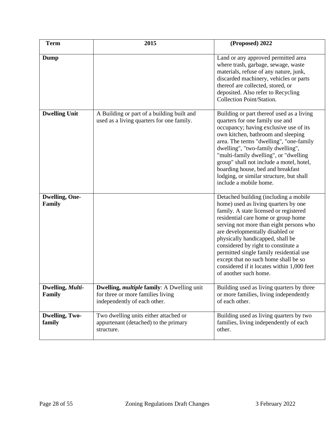| <b>Term</b>                     | 2015                                                                                                                   | (Proposed) 2022                                                                                                                                                                                                                                                                                                                                                                                                                                                                   |
|---------------------------------|------------------------------------------------------------------------------------------------------------------------|-----------------------------------------------------------------------------------------------------------------------------------------------------------------------------------------------------------------------------------------------------------------------------------------------------------------------------------------------------------------------------------------------------------------------------------------------------------------------------------|
| Dump                            |                                                                                                                        | Land or any approved permitted area<br>where trash, garbage, sewage, waste<br>materials, refuse of any nature, junk,<br>discarded machinery, vehicles or parts<br>thereof are collected, stored, or<br>deposited. Also refer to Recycling<br>Collection Point/Station.                                                                                                                                                                                                            |
| <b>Dwelling Unit</b>            | A Building or part of a building built and<br>used as a living quarters for one family.                                | Building or part thereof used as a living<br>quarters for one family use and<br>occupancy; having exclusive use of its<br>own kitchen, bathroom and sleeping<br>area. The terms "dwelling", "one-family<br>dwelling", "two-family dwelling",<br>"multi-family dwelling", or "dwelling<br>group" shall not include a motel, hotel,<br>boarding house, bed and breakfast<br>lodging, or similar structure, but shall<br>include a mobile home.                                      |
| <b>Dwelling, One-</b><br>Family |                                                                                                                        | Detached building (including a mobile<br>home) used as living quarters by one<br>family. A state licensed or registered<br>residential care home or group home<br>serving not more than eight persons who<br>are developmentally disabled or<br>physically handicapped, shall be<br>considered by right to constitute a<br>permitted single family residential use<br>except that no such home shall be so<br>considered if it locates within 1,000 feet<br>of another such home. |
| Dwelling, Multi-<br>Family      | Dwelling, <i>multiple</i> family: A Dwelling unit<br>for three or more families living<br>independently of each other. | Building used as living quarters by three<br>or more families, living independently<br>of each other.                                                                                                                                                                                                                                                                                                                                                                             |
| <b>Dwelling, Two-</b><br>family | Two dwelling units either attached or<br>appurtenant (detached) to the primary<br>structure.                           | Building used as living quarters by two<br>families, living independently of each<br>other.                                                                                                                                                                                                                                                                                                                                                                                       |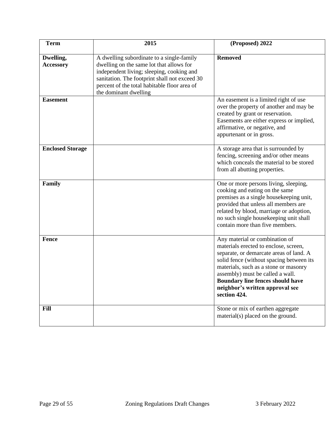| <b>Term</b>                   | 2015                                                                                                                                                                                                                                                         | (Proposed) 2022                                                                                                                                                                                                                                                                                                                    |
|-------------------------------|--------------------------------------------------------------------------------------------------------------------------------------------------------------------------------------------------------------------------------------------------------------|------------------------------------------------------------------------------------------------------------------------------------------------------------------------------------------------------------------------------------------------------------------------------------------------------------------------------------|
| Dwelling,<br><b>Accessory</b> | A dwelling subordinate to a single-family<br>dwelling on the same lot that allows for<br>independent living; sleeping, cooking and<br>sanitation. The footprint shall not exceed 30<br>percent of the total habitable floor area of<br>the dominant dwelling | <b>Removed</b>                                                                                                                                                                                                                                                                                                                     |
| <b>Easement</b>               |                                                                                                                                                                                                                                                              | An easement is a limited right of use<br>over the property of another and may be<br>created by grant or reservation.<br>Easements are either express or implied,<br>affirmative, or negative, and<br>appurtenant or in gross.                                                                                                      |
| <b>Enclosed Storage</b>       |                                                                                                                                                                                                                                                              | A storage area that is surrounded by<br>fencing, screening and/or other means<br>which conceals the material to be stored<br>from all abutting properties.                                                                                                                                                                         |
| Family                        |                                                                                                                                                                                                                                                              | One or more persons living, sleeping,<br>cooking and eating on the same<br>premises as a single housekeeping unit,<br>provided that unless all members are<br>related by blood, marriage or adoption,<br>no such single housekeeping unit shall<br>contain more than five members.                                                 |
| Fence                         |                                                                                                                                                                                                                                                              | Any material or combination of<br>materials erected to enclose, screen,<br>separate, or demarcate areas of land. A<br>solid fence (without spacing between its<br>materials, such as a stone or masonry<br>assembly) must be called a wall.<br>Boundary line fences should have<br>neighbor's written approval see<br>section 424. |
| Fill                          |                                                                                                                                                                                                                                                              | Stone or mix of earthen aggregate<br>material(s) placed on the ground.                                                                                                                                                                                                                                                             |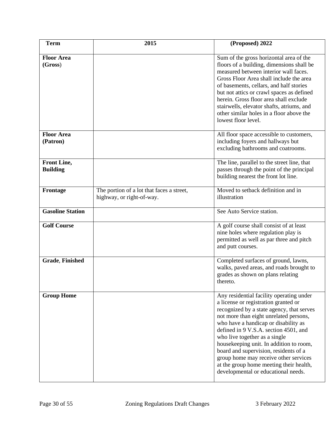| <b>Term</b>                    | 2015                                                                   | (Proposed) 2022                                                                                                                                                                                                                                                                                                                                                                                                                                                                                          |
|--------------------------------|------------------------------------------------------------------------|----------------------------------------------------------------------------------------------------------------------------------------------------------------------------------------------------------------------------------------------------------------------------------------------------------------------------------------------------------------------------------------------------------------------------------------------------------------------------------------------------------|
| <b>Floor Area</b><br>(Gross)   |                                                                        | Sum of the gross horizontal area of the<br>floors of a building, dimensions shall be<br>measured between interior wall faces.<br>Gross Floor Area shall include the area<br>of basements, cellars, and half stories<br>but not attics or crawl spaces as defined<br>herein. Gross floor area shall exclude<br>stairwells, elevator shafts, atriums, and<br>other similar holes in a floor above the<br>lowest floor level.                                                                               |
| <b>Floor Area</b><br>(Patron)  |                                                                        | All floor space accessible to customers,<br>including foyers and hallways but<br>excluding bathrooms and coatrooms.                                                                                                                                                                                                                                                                                                                                                                                      |
| Front Line,<br><b>Building</b> |                                                                        | The line, parallel to the street line, that<br>passes through the point of the principal<br>building nearest the front lot line.                                                                                                                                                                                                                                                                                                                                                                         |
| Frontage                       | The portion of a lot that faces a street,<br>highway, or right-of-way. | Moved to setback definition and in<br>illustration                                                                                                                                                                                                                                                                                                                                                                                                                                                       |
| <b>Gasoline Station</b>        |                                                                        | See Auto Service station.                                                                                                                                                                                                                                                                                                                                                                                                                                                                                |
| <b>Golf Course</b>             |                                                                        | A golf course shall consist of at least<br>nine holes where regulation play is<br>permitted as well as par three and pitch<br>and putt courses.                                                                                                                                                                                                                                                                                                                                                          |
| <b>Grade, Finished</b>         |                                                                        | Completed surfaces of ground, lawns,<br>walks, paved areas, and roads brought to<br>grades as shown on plans relating<br>thereto.                                                                                                                                                                                                                                                                                                                                                                        |
| <b>Group Home</b>              |                                                                        | Any residential facility operating under<br>a license or registration granted or<br>recognized by a state agency, that serves<br>not more than eight unrelated persons,<br>who have a handicap or disability as<br>defined in 9 V.S.A. section 4501, and<br>who live together as a single<br>housekeeping unit. In addition to room,<br>board and supervision, residents of a<br>group home may receive other services<br>at the group home meeting their health,<br>developmental or educational needs. |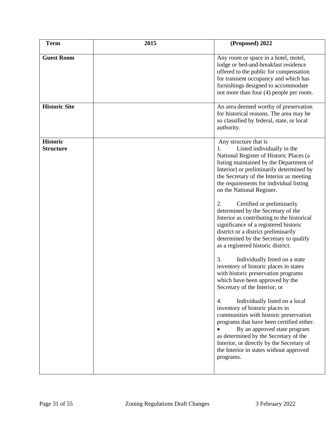| <b>Term</b>                         | 2015 | (Proposed) 2022                                                                                                                                                                                                                                                                                                                                                                                                                                                                                                                                                                                                                                                                                                                                                                                                                                                                                                                                                                                                                                                                                                                                       |
|-------------------------------------|------|-------------------------------------------------------------------------------------------------------------------------------------------------------------------------------------------------------------------------------------------------------------------------------------------------------------------------------------------------------------------------------------------------------------------------------------------------------------------------------------------------------------------------------------------------------------------------------------------------------------------------------------------------------------------------------------------------------------------------------------------------------------------------------------------------------------------------------------------------------------------------------------------------------------------------------------------------------------------------------------------------------------------------------------------------------------------------------------------------------------------------------------------------------|
| <b>Guest Room</b>                   |      | Any room or space in a hotel, motel,<br>lodge or bed-and-breakfast residence<br>offered to the public for compensation<br>for transient occupancy and which has<br>furnishings designed to accommodate<br>not more than four $(4)$ people per room.                                                                                                                                                                                                                                                                                                                                                                                                                                                                                                                                                                                                                                                                                                                                                                                                                                                                                                   |
| <b>Historic Site</b>                |      | An area deemed worthy of preservation<br>for historical reasons. The area may be<br>so classified by federal, state, or local<br>authority.                                                                                                                                                                                                                                                                                                                                                                                                                                                                                                                                                                                                                                                                                                                                                                                                                                                                                                                                                                                                           |
| <b>Historic</b><br><b>Structure</b> |      | Any structure that is<br>Listed individually in the<br>1.<br>National Register of Historic Places (a<br>listing maintained by the Department of<br>Interior) or preliminarily determined by<br>the Secretary of the Interior as meeting<br>the requirements for individual listing<br>on the National Register.<br>Certified or preliminarily<br>2.<br>determined by the Secretary of the<br>Interior as contributing to the historical<br>significance of a registered historic<br>district or a district preliminarily<br>determined by the Secretary to qualify<br>as a registered historic district.<br>3.<br>Individually listed on a state<br>inventory of historic places in states<br>with historic preservation programs<br>which have been approved by the<br>Secretary of the Interior; or<br>4.<br>Individually listed on a local<br>inventory of historic places in<br>communities with historic preservation<br>programs that have been certified either.<br>By an approved state program<br>as determined by the Secretary of the<br>Interior, or directly by the Secretary of<br>the Interior in states without approved<br>programs. |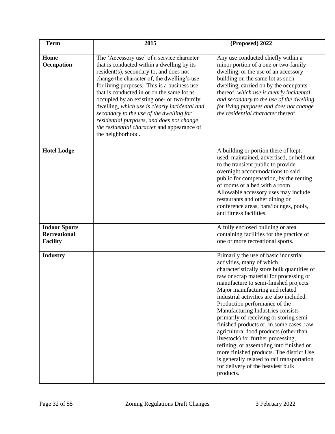| <b>Term</b>                                                    | 2015                                                                                                                                                                                                                                                                                                                                                                                                                                                                                                                                        | (Proposed) 2022                                                                                                                                                                                                                                                                                                                                                                                                                                                                                                                                                                                                                                                                                                             |
|----------------------------------------------------------------|---------------------------------------------------------------------------------------------------------------------------------------------------------------------------------------------------------------------------------------------------------------------------------------------------------------------------------------------------------------------------------------------------------------------------------------------------------------------------------------------------------------------------------------------|-----------------------------------------------------------------------------------------------------------------------------------------------------------------------------------------------------------------------------------------------------------------------------------------------------------------------------------------------------------------------------------------------------------------------------------------------------------------------------------------------------------------------------------------------------------------------------------------------------------------------------------------------------------------------------------------------------------------------------|
| Home<br>Occupation                                             | The 'Accessory use' of a service character<br>that is conducted within a dwelling by its<br>resident(s), secondary to, and does not<br>change the character of, the dwelling's use<br>for living purposes. This is a business use<br>that is conducted in or on the same lot as<br>occupied by an existing one- or two-family<br>dwelling, which use is clearly incidental and<br>secondary to the use of the dwelling for<br>residential purposes, and does not change<br>the residential character and appearance of<br>the neighborhood. | Any use conducted chiefly within a<br>minor portion of a one or two-family<br>dwelling, or the use of an accessory<br>building on the same lot as such<br>dwelling, carried on by the occupants<br>thereof, which use is clearly incidental<br>and secondary to the use of the dwelling<br>for living purposes and does not change<br>the residential character thereof.                                                                                                                                                                                                                                                                                                                                                    |
| <b>Hotel Lodge</b>                                             |                                                                                                                                                                                                                                                                                                                                                                                                                                                                                                                                             | A building or portion there of kept,<br>used, maintained, advertised, or held out<br>to the transient public to provide<br>overnight accommodations to said<br>public for compensation, by the renting<br>of rooms or a bed with a room.<br>Allowable accessory uses may include<br>restaurants and other dining or<br>conference areas, bars/lounges, pools,<br>and fitness facilities.                                                                                                                                                                                                                                                                                                                                    |
| <b>Indoor Sports</b><br><b>Recreational</b><br><b>Facility</b> |                                                                                                                                                                                                                                                                                                                                                                                                                                                                                                                                             | A fully enclosed building or area<br>containing facilities for the practice of<br>one or more recreational sports.                                                                                                                                                                                                                                                                                                                                                                                                                                                                                                                                                                                                          |
| <b>Industry</b>                                                |                                                                                                                                                                                                                                                                                                                                                                                                                                                                                                                                             | Primarily the use of basic industrial<br>activities, many of which<br>characteristically store bulk quantities of<br>raw or scrap material for processing or<br>manufacture to semi-finished projects.<br>Major manufacturing and related<br>industrial activities are also included.<br>Production performance of the<br>Manufacturing Industries consists<br>primarily of receiving or storing semi-<br>finished products or, in some cases, raw<br>agricultural food products (other than<br>livestock) for further processing,<br>refining, or assembling into finished or<br>more finished products. The district Use<br>is generally related to rail transportation<br>for delivery of the heaviest bulk<br>products. |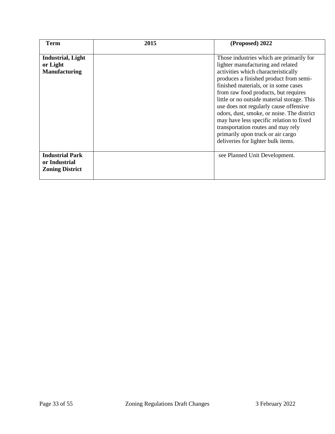| <b>Term</b>                                                       | 2015 | (Proposed) 2022                                                                                                                                                                                                                                                                                                                                                                                                                                                                                                                                    |
|-------------------------------------------------------------------|------|----------------------------------------------------------------------------------------------------------------------------------------------------------------------------------------------------------------------------------------------------------------------------------------------------------------------------------------------------------------------------------------------------------------------------------------------------------------------------------------------------------------------------------------------------|
| <b>Industrial, Light</b><br>or Light<br><b>Manufacturing</b>      |      | Those industries which are primarily for<br>lighter manufacturing and related<br>activities which characteristically<br>produces a finished product from semi-<br>finished materials, or in some cases<br>from raw food products, but requires<br>little or no outside material storage. This<br>use does not regularly cause offensive<br>odors, dust, smoke, or noise. The district<br>may have less specific relation to fixed<br>transportation routes and may rely<br>primarily upon truck or air cargo<br>deliveries for lighter bulk items. |
| <b>Industrial Park</b><br>or Industrial<br><b>Zoning District</b> |      | see Planned Unit Development.                                                                                                                                                                                                                                                                                                                                                                                                                                                                                                                      |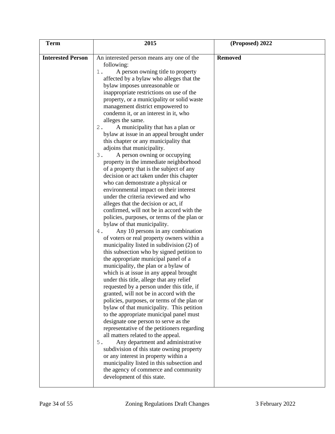| <b>Term</b>              | 2015                                                                                                                                                                                                                                                                                                                                                                                                                                                                                                                                                                                                                                                                                                                                                                                                                                                                                                                                                                                                                                                                                                                                                                                                                                                                                                                                                                                                                                                                                                                                                                                                                                                                                                                                                                                                                                                                                                                                                                                      | (Proposed) 2022 |
|--------------------------|-------------------------------------------------------------------------------------------------------------------------------------------------------------------------------------------------------------------------------------------------------------------------------------------------------------------------------------------------------------------------------------------------------------------------------------------------------------------------------------------------------------------------------------------------------------------------------------------------------------------------------------------------------------------------------------------------------------------------------------------------------------------------------------------------------------------------------------------------------------------------------------------------------------------------------------------------------------------------------------------------------------------------------------------------------------------------------------------------------------------------------------------------------------------------------------------------------------------------------------------------------------------------------------------------------------------------------------------------------------------------------------------------------------------------------------------------------------------------------------------------------------------------------------------------------------------------------------------------------------------------------------------------------------------------------------------------------------------------------------------------------------------------------------------------------------------------------------------------------------------------------------------------------------------------------------------------------------------------------------------|-----------------|
| <b>Interested Person</b> | An interested person means any one of the<br>following:<br>A person owning title to property<br>$1$ .<br>affected by a bylaw who alleges that the<br>bylaw imposes unreasonable or<br>inappropriate restrictions on use of the<br>property, or a municipality or solid waste<br>management district empowered to<br>condemn it, or an interest in it, who<br>alleges the same.<br>A municipality that has a plan or<br>2.<br>bylaw at issue in an appeal brought under<br>this chapter or any municipality that<br>adjoins that municipality.<br>A person owning or occupying<br>3.<br>property in the immediate neighborhood<br>of a property that is the subject of any<br>decision or act taken under this chapter<br>who can demonstrate a physical or<br>environmental impact on their interest<br>under the criteria reviewed and who<br>alleges that the decision or act, if<br>confirmed, will not be in accord with the<br>policies, purposes, or terms of the plan or<br>bylaw of that municipality.<br>Any 10 persons in any combination<br>4.<br>of voters or real property owners within a<br>municipality listed in subdivision (2) of<br>this subsection who by signed petition to<br>the appropriate municipal panel of a<br>municipality, the plan or a bylaw of<br>which is at issue in any appeal brought<br>under this title, allege that any relief<br>requested by a person under this title, if<br>granted, will not be in accord with the<br>policies, purposes, or terms of the plan or<br>bylaw of that municipality. This petition<br>to the appropriate municipal panel must<br>designate one person to serve as the<br>representative of the petitioners regarding<br>all matters related to the appeal.<br>Any department and administrative<br>5.<br>subdivision of this state owning property<br>or any interest in property within a<br>municipality listed in this subsection and<br>the agency of commerce and community<br>development of this state. | <b>Removed</b>  |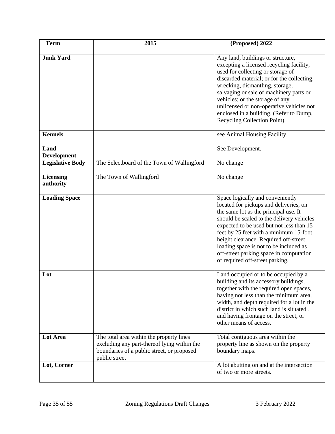| <b>Term</b>                   | 2015                                                                                                                                                   | (Proposed) 2022                                                                                                                                                                                                                                                                                                                                                                                                         |
|-------------------------------|--------------------------------------------------------------------------------------------------------------------------------------------------------|-------------------------------------------------------------------------------------------------------------------------------------------------------------------------------------------------------------------------------------------------------------------------------------------------------------------------------------------------------------------------------------------------------------------------|
| <b>Junk Yard</b>              |                                                                                                                                                        | Any land, buildings or structure,<br>excepting a licensed recycling facility,<br>used for collecting or storage of<br>discarded material; or for the collecting,<br>wrecking, dismantling, storage,<br>salvaging or sale of machinery parts or<br>vehicles; or the storage of any<br>unlicensed or non-operative vehicles not<br>enclosed in a building. (Refer to Dump,<br>Recycling Collection Point).                |
| <b>Kennels</b>                |                                                                                                                                                        | see Animal Housing Facility.                                                                                                                                                                                                                                                                                                                                                                                            |
| Land<br><b>Development</b>    |                                                                                                                                                        | See Development.                                                                                                                                                                                                                                                                                                                                                                                                        |
| <b>Legislative Body</b>       | The Selectboard of the Town of Wallingford                                                                                                             | No change                                                                                                                                                                                                                                                                                                                                                                                                               |
| <b>Licensing</b><br>authority | The Town of Wallingford                                                                                                                                | No change                                                                                                                                                                                                                                                                                                                                                                                                               |
| <b>Loading Space</b>          |                                                                                                                                                        | Space logically and conveniently<br>located for pickups and deliveries, on<br>the same lot as the principal use. It<br>should be scaled to the delivery vehicles<br>expected to be used but not less than 15<br>feet by 25 feet with a minimum 15-foot<br>height clearance. Required off-street<br>loading space is not to be included as<br>off-street parking space in computation<br>of required off-street parking. |
| Lot                           |                                                                                                                                                        | Land occupied or to be occupied by a<br>building and its accessory buildings,<br>together with the required open spaces,<br>having not less than the minimum area,<br>width, and depth required for a lot in the<br>district in which such land is situated.<br>and having frontage on the street, or<br>other means of access.                                                                                         |
| Lot Area                      | The total area within the property lines<br>excluding any part-thereof lying within the<br>boundaries of a public street, or proposed<br>public street | Total contiguous area within the<br>property line as shown on the property<br>boundary maps.                                                                                                                                                                                                                                                                                                                            |
| Lot, Corner                   |                                                                                                                                                        | A lot abutting on and at the intersection<br>of two or more streets.                                                                                                                                                                                                                                                                                                                                                    |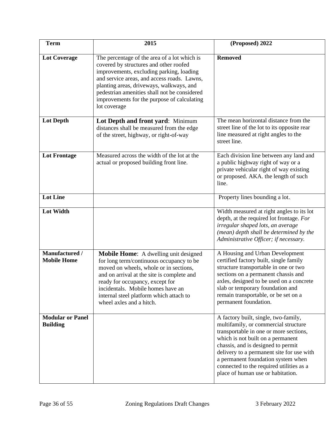| <b>Term</b>                                | 2015                                                                                                                                                                                                                                                                                                                                         | (Proposed) 2022                                                                                                                                                                                                                                                                                                                                                       |
|--------------------------------------------|----------------------------------------------------------------------------------------------------------------------------------------------------------------------------------------------------------------------------------------------------------------------------------------------------------------------------------------------|-----------------------------------------------------------------------------------------------------------------------------------------------------------------------------------------------------------------------------------------------------------------------------------------------------------------------------------------------------------------------|
| <b>Lot Coverage</b>                        | The percentage of the area of a lot which is<br>covered by structures and other roofed<br>improvements, excluding parking, loading<br>and service areas, and access roads. Lawns,<br>planting areas, driveways, walkways, and<br>pedestrian amenities shall not be considered<br>improvements for the purpose of calculating<br>lot coverage | <b>Removed</b>                                                                                                                                                                                                                                                                                                                                                        |
| <b>Lot Depth</b>                           | Lot Depth and front yard: Minimum<br>distances shall be measured from the edge<br>of the street, highway, or right-of-way                                                                                                                                                                                                                    | The mean horizontal distance from the<br>street line of the lot to its opposite rear<br>line measured at right angles to the<br>street line.                                                                                                                                                                                                                          |
| <b>Lot Frontage</b>                        | Measured across the width of the lot at the<br>actual or proposed building front line.                                                                                                                                                                                                                                                       | Each division line between any land and<br>a public highway right of way or a<br>private vehicular right of way existing<br>or proposed. AKA. the length of such<br>line.                                                                                                                                                                                             |
| <b>Lot Line</b>                            |                                                                                                                                                                                                                                                                                                                                              | Property lines bounding a lot.                                                                                                                                                                                                                                                                                                                                        |
| <b>Lot Width</b>                           |                                                                                                                                                                                                                                                                                                                                              | Width measured at right angles to its lot<br>depth, at the required lot frontage. For<br>irregular shaped lots, an average<br>(mean) depth shall be determined by the<br>Administrative Officer; if necessary.                                                                                                                                                        |
| Manufactured /<br><b>Mobile Home</b>       | <b>Mobile Home:</b> A dwelling unit designed<br>for long term/continuous occupancy to be<br>moved on wheels, whole or in sections,<br>and on arrival at the site is complete and<br>ready for occupancy, except for<br>incidentals. Mobile homes have an<br>internal steel platform which attach to<br>wheel axles and a hitch.              | A Housing and Urban Development<br>certified factory built, single family<br>structure transportable in one or two<br>sections on a permanent chassis and<br>axles, designed to be used on a concrete<br>slab or temporary foundation and<br>remain transportable, or be set on a<br>permanent foundation.                                                            |
| <b>Modular or Panel</b><br><b>Building</b> |                                                                                                                                                                                                                                                                                                                                              | A factory built, single, two-family,<br>multifamily, or commercial structure<br>transportable in one or more sections,<br>which is not built on a permanent<br>chassis, and is designed to permit<br>delivery to a permanent site for use with<br>a permanent foundation system when<br>connected to the required utilities as a<br>place of human use or habitation. |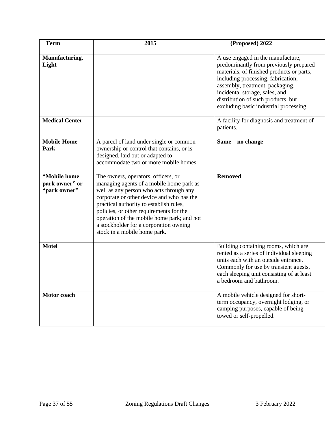| <b>Term</b>                                    | 2015                                                                                                                                                                                                                                                                                                                                                                                  | (Proposed) 2022                                                                                                                                                                                                                                                                                                     |
|------------------------------------------------|---------------------------------------------------------------------------------------------------------------------------------------------------------------------------------------------------------------------------------------------------------------------------------------------------------------------------------------------------------------------------------------|---------------------------------------------------------------------------------------------------------------------------------------------------------------------------------------------------------------------------------------------------------------------------------------------------------------------|
| Manufacturing,<br>Light                        |                                                                                                                                                                                                                                                                                                                                                                                       | A use engaged in the manufacture,<br>predominantly from previously prepared<br>materials, of finished products or parts,<br>including processing, fabrication,<br>assembly, treatment, packaging,<br>incidental storage, sales, and<br>distribution of such products, but<br>excluding basic industrial processing. |
| <b>Medical Center</b>                          |                                                                                                                                                                                                                                                                                                                                                                                       | A facility for diagnosis and treatment of<br>patients.                                                                                                                                                                                                                                                              |
| <b>Mobile Home</b><br>Park                     | A parcel of land under single or common<br>ownership or control that contains, or is<br>designed, laid out or adapted to<br>accommodate two or more mobile homes.                                                                                                                                                                                                                     | Same – no change                                                                                                                                                                                                                                                                                                    |
| "Mobile home<br>park owner" or<br>"park owner" | The owners, operators, officers, or<br>managing agents of a mobile home park as<br>well as any person who acts through any<br>corporate or other device and who has the<br>practical authority to establish rules,<br>policies, or other requirements for the<br>operation of the mobile home park; and not<br>a stockholder for a corporation owning<br>stock in a mobile home park. | <b>Removed</b>                                                                                                                                                                                                                                                                                                      |
| <b>Motel</b>                                   |                                                                                                                                                                                                                                                                                                                                                                                       | Building containing rooms, which are<br>rented as a series of individual sleeping<br>units each with an outside entrance.<br>Commonly for use by transient guests,<br>each sleeping unit consisting of at least<br>a bedroom and bathroom.                                                                          |
| <b>Motor</b> coach                             |                                                                                                                                                                                                                                                                                                                                                                                       | A mobile vehicle designed for short-<br>term occupancy, overnight lodging, or<br>camping purposes, capable of being<br>towed or self-propelled.                                                                                                                                                                     |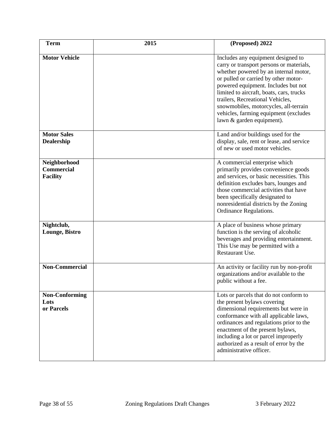| <b>Term</b>                                          | 2015 | (Proposed) 2022                                                                                                                                                                                                                                                                                                                                                                                       |
|------------------------------------------------------|------|-------------------------------------------------------------------------------------------------------------------------------------------------------------------------------------------------------------------------------------------------------------------------------------------------------------------------------------------------------------------------------------------------------|
| <b>Motor Vehicle</b>                                 |      | Includes any equipment designed to<br>carry or transport persons or materials,<br>whether powered by an internal motor,<br>or pulled or carried by other motor-<br>powered equipment. Includes but not<br>limited to aircraft, boats, cars, trucks<br>trailers, Recreational Vehicles,<br>snowmobiles, motorcycles, all-terrain<br>vehicles, farming equipment (excludes<br>lawn & garden equipment). |
| <b>Motor Sales</b><br><b>Dealership</b>              |      | Land and/or buildings used for the<br>display, sale, rent or lease, and service<br>of new or used motor vehicles.                                                                                                                                                                                                                                                                                     |
| Neighborhood<br><b>Commercial</b><br><b>Facility</b> |      | A commercial enterprise which<br>primarily provides convenience goods<br>and services, or basic necessities. This<br>definition excludes bars, lounges and<br>those commercial activities that have<br>been specifically designated to<br>nonresidential districts by the Zoning<br>Ordinance Regulations.                                                                                            |
| Nightclub,<br>Lounge, Bistro                         |      | A place of business whose primary<br>function is the serving of alcoholic<br>beverages and providing entertainment.<br>This Use may be permitted with a<br>Restaurant Use.                                                                                                                                                                                                                            |
| <b>Non-Commercial</b>                                |      | An activity or facility run by non-profit<br>organizations and/or available to the<br>public without a fee.                                                                                                                                                                                                                                                                                           |
| Non-Conforming<br>Lots<br>or Parcels                 |      | Lots or parcels that do not conform to<br>the present bylaws covering<br>dimensional requirements but were in<br>conformance with all applicable laws,<br>ordinances and regulations prior to the<br>enactment of the present bylaws,<br>including a lot or parcel improperly<br>authorized as a result of error by the<br>administrative officer.                                                    |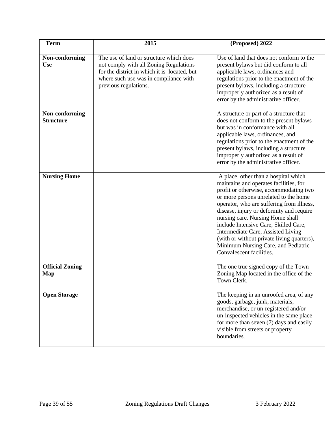| <b>Term</b>                        | 2015                                                                                                                                                                                                | (Proposed) 2022                                                                                                                                                                                                                                                                                                                                                                                                                                                                                |
|------------------------------------|-----------------------------------------------------------------------------------------------------------------------------------------------------------------------------------------------------|------------------------------------------------------------------------------------------------------------------------------------------------------------------------------------------------------------------------------------------------------------------------------------------------------------------------------------------------------------------------------------------------------------------------------------------------------------------------------------------------|
| Non-conforming<br><b>Use</b>       | The use of land or structure which does<br>not comply with all Zoning Regulations<br>for the district in which it is located, but<br>where such use was in compliance with<br>previous regulations. | Use of land that does not conform to the<br>present bylaws but did conform to all<br>applicable laws, ordinances and<br>regulations prior to the enactment of the<br>present bylaws, including a structure<br>improperly authorized as a result of<br>error by the administrative officer.                                                                                                                                                                                                     |
| Non-conforming<br><b>Structure</b> |                                                                                                                                                                                                     | A structure or part of a structure that<br>does not conform to the present bylaws<br>but was in conformance with all<br>applicable laws, ordinances, and<br>regulations prior to the enactment of the<br>present bylaws, including a structure<br>improperly authorized as a result of<br>error by the administrative officer.                                                                                                                                                                 |
| <b>Nursing Home</b>                |                                                                                                                                                                                                     | A place, other than a hospital which<br>maintains and operates facilities, for<br>profit or otherwise, accommodating two<br>or more persons unrelated to the home<br>operator, who are suffering from illness,<br>disease, injury or deformity and require<br>nursing care. Nursing Home shall<br>include Intensive Care, Skilled Care,<br>Intermediate Care, Assisted Living<br>(with or without private living quarters),<br>Minimum Nursing Care, and Pediatric<br>Convalescent facilities. |
| <b>Official Zoning</b><br>Map      |                                                                                                                                                                                                     | The one true signed copy of the Town<br>Zoning Map located in the office of the<br>Town Clerk.                                                                                                                                                                                                                                                                                                                                                                                                 |
| <b>Open Storage</b>                |                                                                                                                                                                                                     | The keeping in an unroofed area, of any<br>goods, garbage, junk, materials,<br>merchandise, or un-registered and/or<br>un-inspected vehicles in the same place<br>for more than seven $(7)$ days and easily<br>visible from streets or property<br>boundaries.                                                                                                                                                                                                                                 |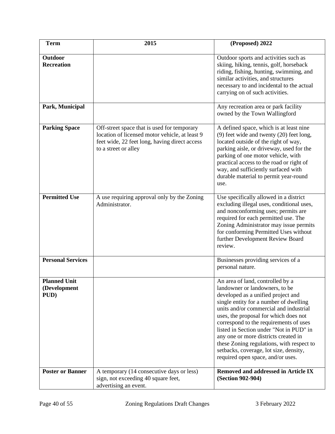| <b>Term</b>                                 | 2015                                                                                                                                                                   | (Proposed) 2022                                                                                                                                                                                                                                                                                                                                                                                                                                                                                |
|---------------------------------------------|------------------------------------------------------------------------------------------------------------------------------------------------------------------------|------------------------------------------------------------------------------------------------------------------------------------------------------------------------------------------------------------------------------------------------------------------------------------------------------------------------------------------------------------------------------------------------------------------------------------------------------------------------------------------------|
| Outdoor<br><b>Recreation</b>                |                                                                                                                                                                        | Outdoor sports and activities such as<br>skiing, hiking, tennis, golf, horseback<br>riding, fishing, hunting, swimming, and<br>similar activities, and structures<br>necessary to and incidental to the actual<br>carrying on of such activities.                                                                                                                                                                                                                                              |
| Park, Municipal                             |                                                                                                                                                                        | Any recreation area or park facility<br>owned by the Town Wallingford                                                                                                                                                                                                                                                                                                                                                                                                                          |
| <b>Parking Space</b>                        | Off-street space that is used for temporary<br>location of licensed motor vehicle, at least 9<br>feet wide, 22 feet long, having direct access<br>to a street or alley | A defined space, which is at least nine<br>$(9)$ feet wide and twenty $(20)$ feet long,<br>located outside of the right of way,<br>parking aisle, or driveway, used for the<br>parking of one motor vehicle, with<br>practical access to the road or right of<br>way, and sufficiently surfaced with<br>durable material to permit year-round<br>use.                                                                                                                                          |
| <b>Permitted Use</b>                        | A use requiring approval only by the Zoning<br>Administrator.                                                                                                          | Use specifically allowed in a district<br>excluding illegal uses, conditional uses,<br>and nonconforming uses; permits are<br>required for each permitted use. The<br>Zoning Administrator may issue permits<br>for conforming Permitted Uses without<br>further Development Review Board<br>review.                                                                                                                                                                                           |
| <b>Personal Services</b>                    |                                                                                                                                                                        | Businesses providing services of a<br>personal nature.                                                                                                                                                                                                                                                                                                                                                                                                                                         |
| <b>Planned Unit</b><br>(Development<br>PUD) |                                                                                                                                                                        | An area of land, controlled by a<br>landowner or landowners, to be<br>developed as a unified project and<br>single entity for a number of dwelling<br>units and/or commercial and industrial<br>uses, the proposal for which does not<br>correspond to the requirements of uses<br>listed in Section under "Not in PUD" in<br>any one or more districts created in<br>these Zoning regulations, with respect to<br>setbacks, coverage, lot size, density,<br>required open space, and/or uses. |
| <b>Poster or Banner</b>                     | A temporary (14 consecutive days or less)<br>sign, not exceeding 40 square feet,<br>advertising an event.                                                              | <b>Removed and addressed in Article IX</b><br>(Section 902-904)                                                                                                                                                                                                                                                                                                                                                                                                                                |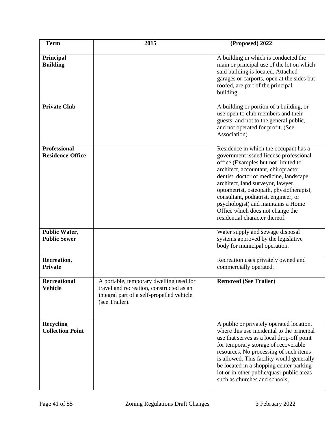| <b>Term</b>                                    | 2015                                                                                                                                               | (Proposed) 2022                                                                                                                                                                                                                                                                                                                                                                                                                               |
|------------------------------------------------|----------------------------------------------------------------------------------------------------------------------------------------------------|-----------------------------------------------------------------------------------------------------------------------------------------------------------------------------------------------------------------------------------------------------------------------------------------------------------------------------------------------------------------------------------------------------------------------------------------------|
| Principal<br><b>Building</b>                   |                                                                                                                                                    | A building in which is conducted the<br>main or principal use of the lot on which<br>said building is located. Attached<br>garages or carports, open at the sides but<br>roofed, are part of the principal<br>building.                                                                                                                                                                                                                       |
| <b>Private Club</b>                            |                                                                                                                                                    | A building or portion of a building, or<br>use open to club members and their<br>guests, and not to the general public,<br>and not operated for profit. (See<br>Association)                                                                                                                                                                                                                                                                  |
| <b>Professional</b><br><b>Residence-Office</b> |                                                                                                                                                    | Residence in which the occupant has a<br>government issued license professional<br>office (Examples but not limited to<br>architect, accountant, chiropractor,<br>dentist, doctor of medicine, landscape<br>architect, land surveyor, lawyer,<br>optometrist, osteopath, physiotherapist,<br>consultant, podiatrist, engineer, or<br>psychologist) and maintains a Home<br>Office which does not change the<br>residential character thereof. |
| <b>Public Water,</b><br><b>Public Sewer</b>    |                                                                                                                                                    | Water supply and sewage disposal<br>systems approved by the legislative<br>body for municipal operation.                                                                                                                                                                                                                                                                                                                                      |
| Recreation,<br><b>Private</b>                  |                                                                                                                                                    | Recreation uses privately owned and<br>commercially operated.                                                                                                                                                                                                                                                                                                                                                                                 |
| <b>Recreational</b><br><b>Vehicle</b>          | A portable, temporary dwelling used for<br>travel and recreation, constructed as an<br>integral part of a self-propelled vehicle<br>(see Trailer). | <b>Removed (See Trailer)</b>                                                                                                                                                                                                                                                                                                                                                                                                                  |
| <b>Recycling</b><br><b>Collection Point</b>    |                                                                                                                                                    | A public or privately operated location,<br>where this use incidental to the principal<br>use that serves as a local drop-off point<br>for temporary storage of recoverable<br>resources. No processing of such items<br>is allowed. This facility would generally<br>be located in a shopping center parking<br>lot or in other public/quasi-public areas<br>such as churches and schools,                                                   |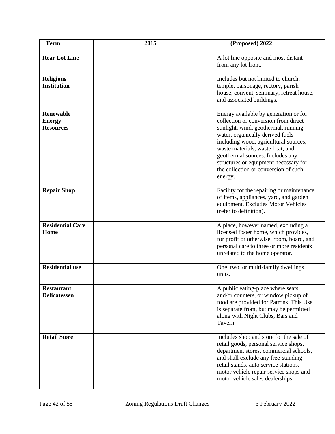| <b>Term</b>                                           | 2015 | (Proposed) 2022                                                                                                                                                                                                                                                                                                                                                       |
|-------------------------------------------------------|------|-----------------------------------------------------------------------------------------------------------------------------------------------------------------------------------------------------------------------------------------------------------------------------------------------------------------------------------------------------------------------|
| <b>Rear Lot Line</b>                                  |      | A lot line opposite and most distant<br>from any lot front.                                                                                                                                                                                                                                                                                                           |
| <b>Religious</b><br><b>Institution</b>                |      | Includes but not limited to church,<br>temple, parsonage, rectory, parish<br>house, convent, seminary, retreat house,<br>and associated buildings.                                                                                                                                                                                                                    |
| <b>Renewable</b><br><b>Energy</b><br><b>Resources</b> |      | Energy available by generation or for<br>collection or conversion from direct<br>sunlight, wind, geothermal, running<br>water, organically derived fuels<br>including wood, agricultural sources,<br>waste materials, waste heat, and<br>geothermal sources. Includes any<br>structures or equipment necessary for<br>the collection or conversion of such<br>energy. |
| <b>Repair Shop</b>                                    |      | Facility for the repairing or maintenance<br>of items, appliances, yard, and garden<br>equipment. Excludes Motor Vehicles<br>(refer to definition).                                                                                                                                                                                                                   |
| <b>Residential Care</b><br>Home                       |      | A place, however named, excluding a<br>licensed foster home, which provides,<br>for profit or otherwise, room, board, and<br>personal care to three or more residents<br>unrelated to the home operator.                                                                                                                                                              |
| <b>Residential use</b>                                |      | One, two, or multi-family dwellings<br>units.                                                                                                                                                                                                                                                                                                                         |
| <b>Restaurant</b><br><b>Delicatessen</b>              |      | A public eating-place where seats<br>and/or counters, or window pickup of<br>food are provided for Patrons. This Use<br>is separate from, but may be permitted<br>along with Night Clubs, Bars and<br>Tavern.                                                                                                                                                         |
| <b>Retail Store</b>                                   |      | Includes shop and store for the sale of<br>retail goods, personal service shops,<br>department stores, commercial schools,<br>and shall exclude any free-standing<br>retail stands, auto service stations,<br>motor vehicle repair service shops and<br>motor vehicle sales dealerships.                                                                              |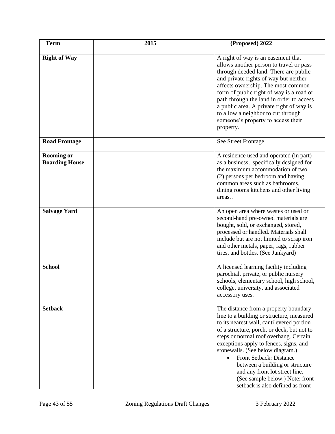| <b>Term</b>                                | 2015 | (Proposed) 2022                                                                                                                                                                                                                                                                                                                                                                                                                                                              |
|--------------------------------------------|------|------------------------------------------------------------------------------------------------------------------------------------------------------------------------------------------------------------------------------------------------------------------------------------------------------------------------------------------------------------------------------------------------------------------------------------------------------------------------------|
| <b>Right of Way</b>                        |      | A right of way is an easement that<br>allows another person to travel or pass<br>through deeded land. There are public<br>and private rights of way but neither<br>affects ownership. The most common<br>form of public right of way is a road or<br>path through the land in order to access<br>a public area. A private right of way is<br>to allow a neighbor to cut through<br>someone's property to access their<br>property.                                           |
| <b>Road Frontage</b>                       |      | See Street Frontage.                                                                                                                                                                                                                                                                                                                                                                                                                                                         |
| <b>Rooming or</b><br><b>Boarding House</b> |      | A residence used and operated (in part)<br>as a business, specifically designed for<br>the maximum accommodation of two<br>(2) persons per bedroom and having<br>common areas such as bathrooms,<br>dining rooms kitchens and other living<br>areas.                                                                                                                                                                                                                         |
| <b>Salvage Yard</b>                        |      | An open area where wastes or used or<br>second-hand pre-owned materials are<br>bought, sold, or exchanged, stored,<br>processed or handled. Materials shall<br>include but are not limited to scrap iron<br>and other metals, paper, rags, rubber<br>tires, and bottles. (See Junkyard)                                                                                                                                                                                      |
| <b>School</b>                              |      | A licensed learning facility including<br>parochial, private, or public nursery<br>schools, elementary school, high school,<br>college, university, and associated<br>accessory uses.                                                                                                                                                                                                                                                                                        |
| <b>Setback</b>                             |      | The distance from a property boundary<br>line to a building or structure, measured<br>to its nearest wall, cantilevered portion<br>of a structure, porch, or deck, but not to<br>steps or normal roof overhang. Certain<br>exceptions apply to fences, signs, and<br>stonewalls. (See below diagram.)<br>Front Setback: Distance<br>between a building or structure<br>and any front lot street line.<br>(See sample below.) Note: front<br>setback is also defined as front |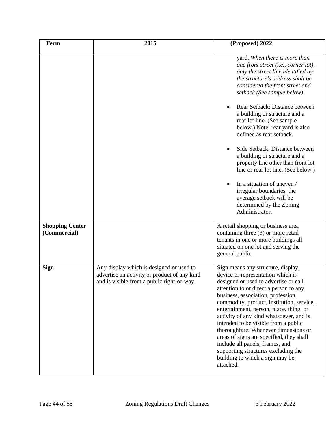| <b>Term</b>                            | 2015                                                                                                                                   | (Proposed) 2022                                                                                                                                                                                                                                                                                                                                                                                                                                                                                                                                                                           |
|----------------------------------------|----------------------------------------------------------------------------------------------------------------------------------------|-------------------------------------------------------------------------------------------------------------------------------------------------------------------------------------------------------------------------------------------------------------------------------------------------------------------------------------------------------------------------------------------------------------------------------------------------------------------------------------------------------------------------------------------------------------------------------------------|
|                                        |                                                                                                                                        | yard. When there is more than<br>one front street (i.e., corner lot),<br>only the street line identified by<br>the structure's address shall be<br>considered the front street and<br>setback (See sample below)                                                                                                                                                                                                                                                                                                                                                                          |
|                                        |                                                                                                                                        | Rear Setback: Distance between<br>a building or structure and a<br>rear lot line. (See sample<br>below.) Note: rear yard is also<br>defined as rear setback.                                                                                                                                                                                                                                                                                                                                                                                                                              |
|                                        |                                                                                                                                        | Side Setback: Distance between<br>a building or structure and a<br>property line other than front lot<br>line or rear lot line. (See below.)                                                                                                                                                                                                                                                                                                                                                                                                                                              |
|                                        |                                                                                                                                        | In a situation of uneven /<br>$\bullet$<br>irregular boundaries, the<br>average setback will be<br>determined by the Zoning<br>Administrator.                                                                                                                                                                                                                                                                                                                                                                                                                                             |
| <b>Shopping Center</b><br>(Commercial) |                                                                                                                                        | A retail shopping or business area<br>containing three (3) or more retail<br>tenants in one or more buildings all<br>situated on one lot and serving the<br>general public.                                                                                                                                                                                                                                                                                                                                                                                                               |
| <b>Sign</b>                            | Any display which is designed or used to<br>advertise an activity or product of any kind<br>and is visible from a public right-of-way. | Sign means any structure, display,<br>device or representation which is<br>designed or used to advertise or call<br>attention to or direct a person to any<br>business, association, profession,<br>commodity, product, institution, service,<br>entertainment, person, place, thing, or<br>activity of any kind whatsoever, and is<br>intended to be visible from a public<br>thoroughfare. Whenever dimensions or<br>areas of signs are specified, they shall<br>include all panels, frames, and<br>supporting structures excluding the<br>building to which a sign may be<br>attached. |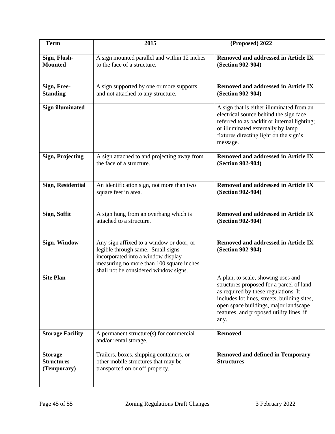| <b>Term</b>                                        | 2015                                                                                                                                                                                                     | (Proposed) 2022                                                                                                                                                                                                                                                     |
|----------------------------------------------------|----------------------------------------------------------------------------------------------------------------------------------------------------------------------------------------------------------|---------------------------------------------------------------------------------------------------------------------------------------------------------------------------------------------------------------------------------------------------------------------|
| Sign, Flush-<br><b>Mounted</b>                     | A sign mounted parallel and within 12 inches<br>to the face of a structure.                                                                                                                              | <b>Removed and addressed in Article IX</b><br>(Section 902-904)                                                                                                                                                                                                     |
| Sign, Free-<br><b>Standing</b>                     | A sign supported by one or more supports<br>and not attached to any structure.                                                                                                                           | <b>Removed and addressed in Article IX</b><br>(Section 902-904)                                                                                                                                                                                                     |
| <b>Sign illuminated</b>                            |                                                                                                                                                                                                          | A sign that is either illuminated from an<br>electrical source behind the sign face,<br>referred to as backlit or internal lighting;<br>or illuminated externally by lamp<br>fixtures directing light on the sign's<br>message.                                     |
| <b>Sign, Projecting</b>                            | A sign attached to and projecting away from<br>the face of a structure.                                                                                                                                  | <b>Removed and addressed in Article IX</b><br>(Section 902-904)                                                                                                                                                                                                     |
| <b>Sign, Residential</b>                           | An identification sign, not more than two<br>square feet in area.                                                                                                                                        | <b>Removed and addressed in Article IX</b><br>(Section 902-904)                                                                                                                                                                                                     |
| Sign, Soffit                                       | A sign hung from an overhang which is<br>attached to a structure.                                                                                                                                        | <b>Removed and addressed in Article IX</b><br>(Section 902-904)                                                                                                                                                                                                     |
| Sign, Window                                       | Any sign affixed to a window or door, or<br>legible through same. Small signs<br>incorporated into a window display<br>measuring no more than 100 square inches<br>shall not be considered window signs. | <b>Removed and addressed in Article IX</b><br>(Section 902-904)                                                                                                                                                                                                     |
| <b>Site Plan</b>                                   |                                                                                                                                                                                                          | A plan, to scale, showing uses and<br>structures proposed for a parcel of land<br>as required by these regulations. It<br>includes lot lines, streets, building sites,<br>open space buildings, major landscape<br>features, and proposed utility lines, if<br>any. |
| <b>Storage Facility</b>                            | A permanent structure(s) for commercial<br>and/or rental storage.                                                                                                                                        | <b>Removed</b>                                                                                                                                                                                                                                                      |
| <b>Storage</b><br><b>Structures</b><br>(Temporary) | Trailers, boxes, shipping containers, or<br>other mobile structures that may be<br>transported on or off property.                                                                                       | <b>Removed and defined in Temporary</b><br><b>Structures</b>                                                                                                                                                                                                        |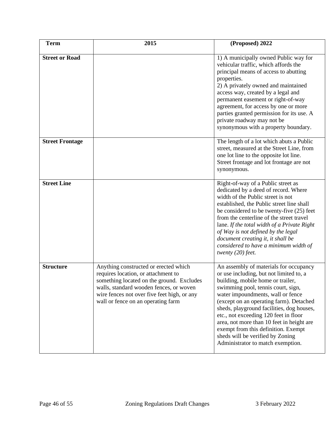| <b>Term</b>            | 2015                                                                                                                                                                                                                                                      | (Proposed) 2022                                                                                                                                                                                                                                                                                                                                                                                                                                                                                 |
|------------------------|-----------------------------------------------------------------------------------------------------------------------------------------------------------------------------------------------------------------------------------------------------------|-------------------------------------------------------------------------------------------------------------------------------------------------------------------------------------------------------------------------------------------------------------------------------------------------------------------------------------------------------------------------------------------------------------------------------------------------------------------------------------------------|
| <b>Street or Road</b>  |                                                                                                                                                                                                                                                           | 1) A municipally owned Public way for<br>vehicular traffic, which affords the<br>principal means of access to abutting<br>properties.<br>2) A privately owned and maintained<br>access way, created by a legal and<br>permanent easement or right-of-way<br>agreement, for access by one or more<br>parties granted permission for its use. A<br>private roadway may not be<br>synonymous with a property boundary.                                                                             |
| <b>Street Frontage</b> |                                                                                                                                                                                                                                                           | The length of a lot which abuts a Public<br>street, measured at the Street Line, from<br>one lot line to the opposite lot line.<br>Street frontage and lot frontage are not<br>synonymous.                                                                                                                                                                                                                                                                                                      |
| <b>Street Line</b>     |                                                                                                                                                                                                                                                           | Right-of-way of a Public street as<br>dedicated by a deed of record. Where<br>width of the Public street is not<br>established, the Public street line shall<br>be considered to be twenty-five (25) feet<br>from the centerline of the street travel<br>lane. If the total width of a Private Right<br>of Way is not defined by the legal<br>document creating it, it shall be<br>considered to have a minimum width of<br>twenty $(20)$ feet.                                                 |
| <b>Structure</b>       | Anything constructed or erected which<br>requires location, or attachment to<br>something located on the ground. Excludes<br>walls, standard wooden fences, or woven<br>wire fences not over five feet high, or any<br>wall or fence on an operating farm | An assembly of materials for occupancy<br>or use including, but not limited to, a<br>building, mobile home or trailer,<br>swimming pool, tennis court, sign,<br>water impoundments, wall or fence<br>(except on an operating farm). Detached<br>sheds, playground facilities, dog houses,<br>etc., not exceeding 120 feet in floor<br>area, not more than 10 feet in height are<br>exempt from this definition. Exempt<br>sheds will be verified by Zoning<br>Administrator to match exemption. |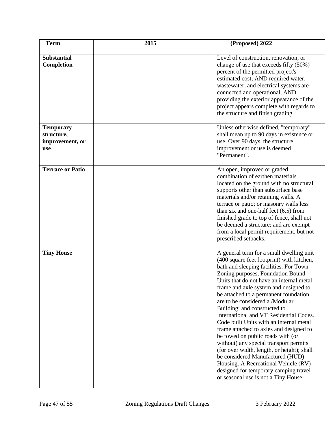| <b>Term</b>                                              | 2015 | (Proposed) 2022                                                                                                                                                                                                                                                                                                                                                                                                                                                                                                                                                                                                                                                                                                                                                                                  |
|----------------------------------------------------------|------|--------------------------------------------------------------------------------------------------------------------------------------------------------------------------------------------------------------------------------------------------------------------------------------------------------------------------------------------------------------------------------------------------------------------------------------------------------------------------------------------------------------------------------------------------------------------------------------------------------------------------------------------------------------------------------------------------------------------------------------------------------------------------------------------------|
| <b>Substantial</b><br>Completion                         |      | Level of construction, renovation, or<br>change of use that exceeds fifty (50%)<br>percent of the permitted project's<br>estimated cost; AND required water,<br>wastewater, and electrical systems are<br>connected and operational, AND<br>providing the exterior appearance of the<br>project appears complete with regards to<br>the structure and finish grading.                                                                                                                                                                                                                                                                                                                                                                                                                            |
| <b>Temporary</b><br>structure,<br>improvement, or<br>use |      | Unless otherwise defined, "temporary"<br>shall mean up to 90 days in existence or<br>use. Over 90 days, the structure,<br>improvement or use is deemed<br>"Permanent".                                                                                                                                                                                                                                                                                                                                                                                                                                                                                                                                                                                                                           |
| <b>Terrace or Patio</b>                                  |      | An open, improved or graded<br>combination of earthen materials<br>located on the ground with no structural<br>supports other than subsurface base<br>materials and/or retaining walls. A<br>terrace or patio; or masonry walls less<br>than six and one-half feet $(6.5)$ from<br>finished grade to top of fence, shall not<br>be deemed a structure; and are exempt<br>from a local permit requirement, but not<br>prescribed setbacks.                                                                                                                                                                                                                                                                                                                                                        |
| <b>Tiny House</b>                                        |      | A general term for a small dwelling unit<br>(400 square feet footprint) with kitchen,<br>bath and sleeping facilities. For Town<br>Zoning purposes, Foundation Bound<br>Units that do not have an internal metal<br>frame and axle system and designed to<br>be attached to a permanent foundation<br>are to be considered a /Modular<br>Building; and constructed to<br>International and VT Residential Codes.<br>Code built Units with an internal metal<br>frame attached to axles and designed to<br>be towed on public roads with (or<br>without) any special transport permits<br>(for over width, length, or height); shall<br>be considered Manufactured (HUD)<br>Housing. A Recreational Vehicle (RV)<br>designed for temporary camping travel<br>or seasonal use is not a Tiny House. |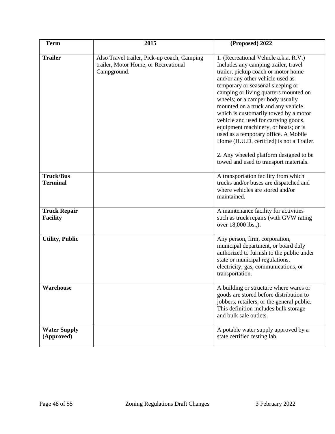| <b>Term</b>                            | 2015                                                                                               | (Proposed) 2022                                                                                                                                                                                                                                                                                                                                                                                                                                                                                                                                                                                                    |
|----------------------------------------|----------------------------------------------------------------------------------------------------|--------------------------------------------------------------------------------------------------------------------------------------------------------------------------------------------------------------------------------------------------------------------------------------------------------------------------------------------------------------------------------------------------------------------------------------------------------------------------------------------------------------------------------------------------------------------------------------------------------------------|
| <b>Trailer</b>                         | Also Travel trailer, Pick-up coach, Camping<br>trailer, Motor Home, or Recreational<br>Campground. | 1. (Recreational Vehicle a.k.a. R.V.)<br>Includes any camping trailer, travel<br>trailer, pickup coach or motor home<br>and/or any other vehicle used as<br>temporary or seasonal sleeping or<br>camping or living quarters mounted on<br>wheels; or a camper body usually<br>mounted on a truck and any vehicle<br>which is customarily towed by a motor<br>vehicle and used for carrying goods,<br>equipment machinery, or boats; or is<br>used as a temporary office. A Mobile<br>Home (H.U.D. certified) is not a Trailer.<br>2. Any wheeled platform designed to be<br>towed and used to transport materials. |
| <b>Truck/Bus</b><br><b>Terminal</b>    |                                                                                                    | A transportation facility from which<br>trucks and/or buses are dispatched and<br>where vehicles are stored and/or<br>maintained.                                                                                                                                                                                                                                                                                                                                                                                                                                                                                  |
| <b>Truck Repair</b><br><b>Facility</b> |                                                                                                    | A maintenance facility for activities<br>such as truck repairs (with GVW rating<br>over 18,000 lbs.,).                                                                                                                                                                                                                                                                                                                                                                                                                                                                                                             |
| <b>Utility, Public</b>                 |                                                                                                    | Any person, firm, corporation,<br>municipal department, or board duly<br>authorized to furnish to the public under<br>state or municipal regulations,<br>electricity, gas, communications, or<br>transportation.                                                                                                                                                                                                                                                                                                                                                                                                   |
| Warehouse                              |                                                                                                    | A building or structure where wares or<br>goods are stored before distribution to<br>jobbers, retailers, or the general public.<br>This definition includes bulk storage<br>and bulk sale outlets.                                                                                                                                                                                                                                                                                                                                                                                                                 |
| <b>Water Supply</b><br>(Approved)      |                                                                                                    | A potable water supply approved by a<br>state certified testing lab.                                                                                                                                                                                                                                                                                                                                                                                                                                                                                                                                               |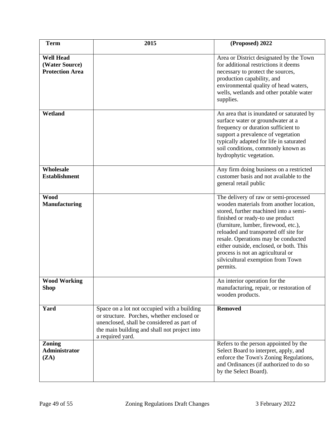| <b>Term</b>                                                  | 2015                                                                                                                                                                                                        | (Proposed) 2022                                                                                                                                                                                                                                                                                                                                                                                                        |
|--------------------------------------------------------------|-------------------------------------------------------------------------------------------------------------------------------------------------------------------------------------------------------------|------------------------------------------------------------------------------------------------------------------------------------------------------------------------------------------------------------------------------------------------------------------------------------------------------------------------------------------------------------------------------------------------------------------------|
| <b>Well Head</b><br>(Water Source)<br><b>Protection Area</b> |                                                                                                                                                                                                             | Area or District designated by the Town<br>for additional restrictions it deems<br>necessary to protect the sources,<br>production capability, and<br>environmental quality of head waters,<br>wells, wetlands and other potable water<br>supplies.                                                                                                                                                                    |
| Wetland                                                      |                                                                                                                                                                                                             | An area that is inundated or saturated by<br>surface water or groundwater at a<br>frequency or duration sufficient to<br>support a prevalence of vegetation<br>typically adapted for life in saturated<br>soil conditions, commonly known as<br>hydrophytic vegetation.                                                                                                                                                |
| Wholesale<br><b>Establishment</b>                            |                                                                                                                                                                                                             | Any firm doing business on a restricted<br>customer basis and not available to the<br>general retail public                                                                                                                                                                                                                                                                                                            |
| <b>Wood</b><br><b>Manufacturing</b>                          |                                                                                                                                                                                                             | The delivery of raw or semi-processed<br>wooden materials from another location,<br>stored, further machined into a semi-<br>finished or ready-to use product<br>(furniture, lumber, firewood, etc.),<br>reloaded and transported off site for<br>resale. Operations may be conducted<br>either outside, enclosed, or both. This<br>process is not an agricultural or<br>silvicultural exemption from Town<br>permits. |
| <b>Wood Working</b><br><b>Shop</b>                           |                                                                                                                                                                                                             | An interior operation for the<br>manufacturing, repair, or restoration of<br>wooden products.                                                                                                                                                                                                                                                                                                                          |
| Yard                                                         | Space on a lot not occupied with a building<br>or structure. Porches, whether enclosed or<br>unenclosed, shall be considered as part of<br>the main building and shall not project into<br>a required yard. | <b>Removed</b>                                                                                                                                                                                                                                                                                                                                                                                                         |
| Zoning<br>Administrator<br>(ZA)                              |                                                                                                                                                                                                             | Refers to the person appointed by the<br>Select Board to interpret, apply, and<br>enforce the Town's Zoning Regulations,<br>and Ordinances (if authorized to do so<br>by the Select Board).                                                                                                                                                                                                                            |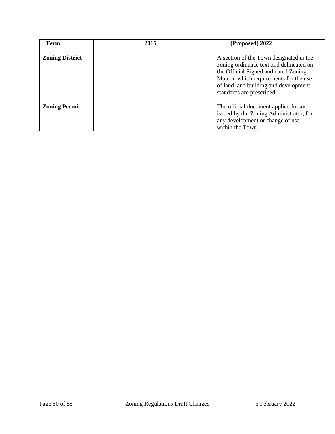| <b>Term</b>            | 2015 | (Proposed) 2022                                                                                                                                                                                                                            |
|------------------------|------|--------------------------------------------------------------------------------------------------------------------------------------------------------------------------------------------------------------------------------------------|
| <b>Zoning District</b> |      | A section of the Town designated in the<br>zoning ordinance text and delineated on<br>the Official Signed and dated Zoning<br>Map, in which requirements for the use<br>of land, and building and development<br>standards are prescribed. |
| <b>Zoning Permit</b>   |      | The official document applied for and<br>issued by the Zoning Administrator, for<br>any development or change of use<br>within the Town.                                                                                                   |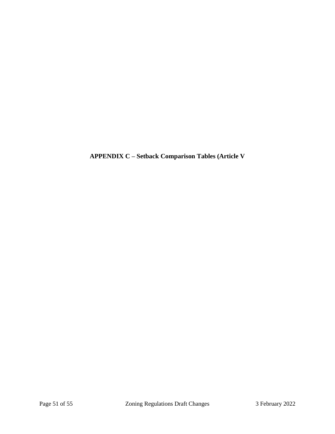**APPENDIX C – Setback Comparison Tables (Article V**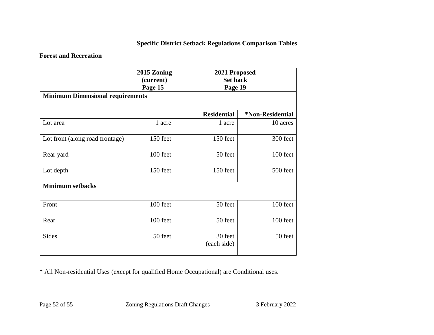# **Specific District Setback Regulations Comparison Tables**

# **Forest and Recreation**

|                                         | 2015 Zoning<br>(current)<br>Page 15 | 2021 Proposed<br><b>Set back</b><br>Page 19 |                  |
|-----------------------------------------|-------------------------------------|---------------------------------------------|------------------|
| <b>Minimum Dimensional requirements</b> |                                     |                                             |                  |
|                                         |                                     | <b>Residential</b>                          | *Non-Residential |
| Lot area                                | 1 acre                              | 1 acre                                      | 10 acres         |
| Lot front (along road frontage)         | 150 feet                            | 150 feet                                    | 300 feet         |
| Rear yard                               | 100 feet                            | 50 feet                                     | 100 feet         |
| Lot depth                               | 150 feet                            | 150 feet                                    | 500 feet         |
| <b>Minimum setbacks</b>                 |                                     |                                             |                  |
| Front                                   | 100 feet                            | 50 feet                                     | 100 feet         |
| Rear                                    | 100 feet                            | 50 feet                                     | 100 feet         |
| <b>Sides</b>                            | 50 feet                             | 30 feet<br>(each side)                      | 50 feet          |

\* All Non-residential Uses (except for qualified Home Occupational) are Conditional uses.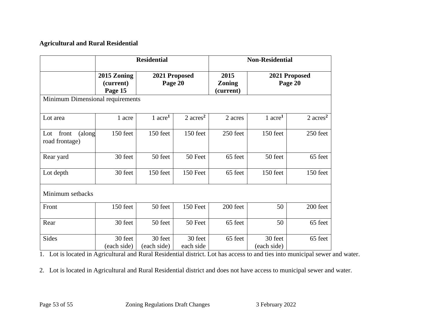### **Agricultural and Rural Residential**

|                                          | <b>Residential</b>                  |                          | <b>Non-Residential</b> |                                    |                        |                          |  |
|------------------------------------------|-------------------------------------|--------------------------|------------------------|------------------------------------|------------------------|--------------------------|--|
|                                          | 2015 Zoning<br>(current)<br>Page 15 | 2021 Proposed<br>Page 20 |                        | 2015<br><b>Zoning</b><br>(current) |                        | 2021 Proposed<br>Page 20 |  |
| Minimum Dimensional requirements         |                                     |                          |                        |                                    |                        |                          |  |
| Lot area                                 | 1 acre                              | 1 $\rm{acre}^1$          | $2 \text{ acres}^2$    | 2 acres                            | $1$ acre <sup>1</sup>  | $2 \text{ acres}^2$      |  |
| Lot<br>front<br>(along<br>road frontage) | 150 feet                            | 150 feet                 | 150 feet               | 250 feet                           | 150 feet               | 250 feet                 |  |
| Rear yard                                | 30 feet                             | 50 feet                  | 50 Feet                | 65 feet                            | 50 feet                | 65 feet                  |  |
| Lot depth                                | 30 feet                             | 150 feet                 | 150 Feet               | 65 feet                            | 150 feet               | 150 feet                 |  |
| Minimum setbacks                         |                                     |                          |                        |                                    |                        |                          |  |
| Front                                    | 150 feet                            | 50 feet                  | 150 Feet               | 200 feet                           | 50                     | 200 feet                 |  |
| Rear                                     | 30 feet                             | 50 feet                  | 50 Feet                | 65 feet                            | 50                     | 65 feet                  |  |
| Sides                                    | 30 feet<br>(each side)              | 30 feet<br>(each side)   | 30 feet<br>each side   | 65 feet                            | 30 feet<br>(each side) | 65 feet                  |  |

1. Lot is located in Agricultural and Rural Residential district. Lot has access to and ties into municipal sewer and water.

2. Lot is located in Agricultural and Rural Residential district and does not have access to municipal sewer and water.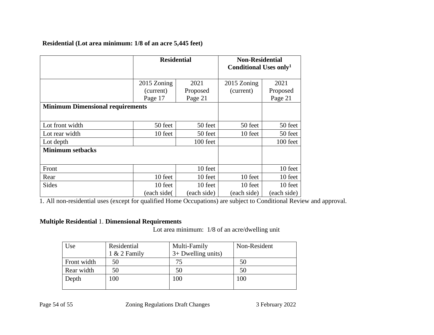# **Residential (Lot area minimum: 1/8 of an acre 5,445 feet)**

|                                         | <b>Residential</b> |             | <b>Non-Residential</b><br>Conditional Uses only <sup>1</sup> |             |
|-----------------------------------------|--------------------|-------------|--------------------------------------------------------------|-------------|
|                                         | 2015 Zoning        | 2021        | 2015 Zoning                                                  | 2021        |
|                                         | (current)          | Proposed    | (current)                                                    | Proposed    |
|                                         | Page 17            | Page 21     |                                                              | Page 21     |
| <b>Minimum Dimensional requirements</b> |                    |             |                                                              |             |
| Lot front width                         | 50 feet            | 50 feet     | 50 feet                                                      | 50 feet     |
| Lot rear width                          | 10 feet            | 50 feet     | 10 feet                                                      | 50 feet     |
| Lot depth                               |                    | 100 feet    |                                                              | 100 feet    |
| <b>Minimum setbacks</b>                 |                    |             |                                                              |             |
| Front                                   |                    | 10 feet     |                                                              | 10 feet     |
| Rear                                    | 10 feet            | 10 feet     | 10 feet                                                      | 10 feet     |
| <b>Sides</b>                            | 10 feet            | 10 feet     | 10 feet                                                      | 10 feet     |
|                                         | (each side(        | (each side) | (each side)                                                  | (each side) |

1. All non-residential uses (except for qualified Home Occupations) are subject to Conditional Review and approval.

### **Multiple Residential** 1. **Dimensional Requirements**

Lot area minimum: 1/8 of an acre/dwelling unit

| Use         | Residential<br>1 & 2 Family | Multi-Family<br>$3+$ Dwelling units) | Non-Resident |
|-------------|-----------------------------|--------------------------------------|--------------|
|             |                             |                                      |              |
| Front width | 50                          | 75                                   | 50           |
| Rear width  | 50                          | 50                                   | 50           |
| Depth       | 100                         | 100                                  | 100          |
|             |                             |                                      |              |